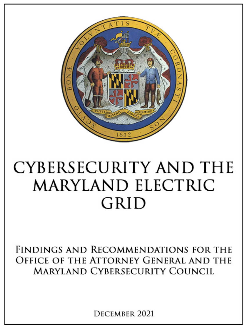

# **CYBERSECURITY AND THE MARYLAND ELECTRIC GRID**

FINDINGS AND RECOMMENDATIONS FOR THE OFFICE OF THE ATTORNEY GENERAL AND THE MARYLAND CYBERSECURJTY COUNCIL

DECEMBER 2021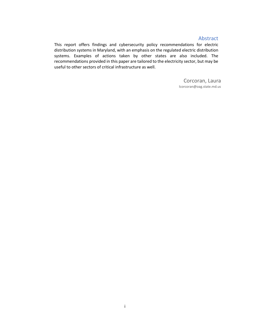#### Abstract

 This report offers findings and cybersecurity policy recommendations for electric distribution systems in Maryland, with an emphasis on the regulated electric distribution systems. Examples of actions taken by other states are also included. The recommendations provided in this paper are tailored to the electricity sector, but may be useful to other sectors of critical infrastructure as well.

> Corcoran, Laura [lcorcoran@oag.state.md.us](mailto:lcorcoran@oag.state.md.us)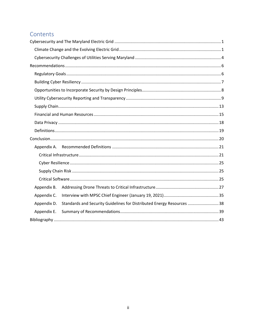# Contents

| Appendix B. |                                                                        |  |  |
|-------------|------------------------------------------------------------------------|--|--|
| Appendix C. |                                                                        |  |  |
| Appendix D. | Standards and Security Guidelines for Distributed Energy Resources  38 |  |  |
| Appendix E. |                                                                        |  |  |
|             |                                                                        |  |  |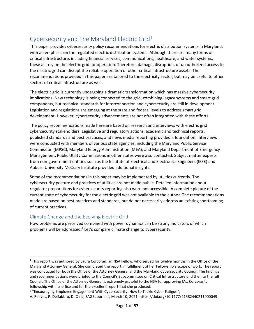# Cybersecurity and The Maryland Electric Grid1

This paper provides cybersecurity policy recommendations for electric distribution systems in Maryland, with an emphasis on the regulated electric distribution systems. Although there are many forms of critical infrastructure, including financial services, communications, healthcare, and water systems, these all rely on the electric grid for operation. Therefore, damage, disruption, or unauthorized access to the electric grid can disrupt the reliable operation of other critical infrastructure assets. The recommendations provided in this paper are tailored to the electricity sector, but may be useful to other sectors of critical infrastructure as well.

The electric grid is currently undergoing a dramatic transformation which has massive cybersecurity implications. New technology is being connected to the grid, combining legacy systems and smart grid components, but technical standards for interconnection and cybersecurity are still in development. Legislation and regulations are emerging at the state and federal levels to address smart grid development. However, cybersecurity advancements are not often integrated with these efforts.

 from non-government entities such as the Institute of Electrical and Electronics Engineers (IEEE) and The policy recommendations made here are based on research and interviews with electric grid cybersecurity stakeholders. Legislative and regulatory actions, academic and technical reports, published standards and best practices, and news media reporting provided a foundation. Interviews were conducted with members of various state agencies, including the Maryland Public Service Commission (MPSC), Maryland Energy Administration (MEA), and Maryland Department of Emergency Management. Public Utility Commissions in other states were also contacted. Subject matter experts Auburn University McCrary Institute provided additional insights.

Some of the recommendations in this paper may be implemented by utilities currently. The cybersecurity posture and practices of utilities are not made public. Detailed information about regulator preparations for cybersecurity reporting also were not accessible. A complete picture of the current state of cybersecurity for the electric grid was not available to the author. The recommendations made are based on best practices and standards, but do not necessarily address an existing shortcoming of current practices.

## Climate Change and the Evolving Electric Grid

How problems are perceived combined with power dynamics can be strong indicators of which problems will be addressed.<sup>2</sup> Let's compare climate change to cybersecurity.

<sup>&</sup>lt;sup>1</sup> This report was authored by Laura Corcoran, an NSA Fellow, who served for twelve months in the Office of the Maryland Attorney General. She completed the report in fulfillment of her Fellowship's scope of work. The report was conducted for both the Office of the Attorney General and the Maryland Cybersecurity Council. The findings and recommendations were briefed to the Council's Subcommittee on Critical Infrastructure and then to the full Council. The Office of the Attorney General is extremely grateful to the NSA for approving Ms. Corcoran's fellowship with its office and for the excellent report that she produced.<br><sup>2</sup> "Encouraging Employee Engagement With Cybersecurity: How to Tackle Cyber Fatigue",

A. Reeves, P. Delfabbro, D. Calic, SAGE Journals, March 10, 2021. <https://doi.org/10.1177/21582440211000049>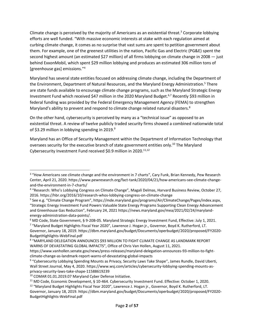second highest amount (an estimated \$27 million) of all firms lobbying on climate change in 2008 — just [greenhouse gas] emissions."<sup>4</sup> Climate change is perceived by the majority of Americans as an existential threat.<sup>3</sup> Corporate lobbying efforts are well funded. "With massive economic interests at stake with each regulation aimed at curbing climate change, it comes as no surprise that vast sums are spent to petition government about them. For example, one of the greenest utilities in the nation, Pacific Gas and Electric (PG&E) spent the behind ExxonMobil, which spent \$29 million lobbying and produces an estimated 306 million tons of

 Maryland has several state entities focused on addressing climate change, including the Department of Investment Fund which received \$47 million in the 2020 Maryland Budget.<sup>6,7</sup> Recently \$93 million in federal funding was provided by the Federal Emergency Management Agency (FEMA) to strengthen Maryland's ability to prevent and respond to climate change related natural disasters.<sup>8</sup> the Environment, Department of Natural Resources, and the Maryland Energy Administration.<sup>5</sup> There are state funds available to encourage climate change programs, such as the Maryland Strategic Energy

of \$3.29 million in lobbying spending in 2019.<sup>9</sup> On the other hand, cybersecurity is perceived by many as a "technical issue" as opposed to an existential threat. A review of twelve publicly traded security firms showed a combined nationwide total

Cybersecurity Investment Fund received \$0.9 million in 2020.<sup>11,12</sup> Maryland has an Office of Security Management within the Department of Information Technology that oversees security for the executive branch of state government entities only.<sup>10</sup> The Maryland

<sup>&</sup>lt;sup>3</sup> "How Americans see climate change and the environment in 7 charts", Cary Funk, Brian Kennedy, Pew Research Center, April 21, 2020. [https://www.pewresearch.org/fact-tank/2020/04/21/how-americans-see-climate-change](https://www.pewresearch.org/fact-tank/2020/04/21/how-americans-see-climate-change-and-the-environment-in-7-charts/)and-the-environment-in-7-charts/<br><sup>4</sup> "Research: Who's Lobbying Congress on Climate Change", Magali Delmas, Harvard Business Review, October 27,

<sup>2016.</sup> https://hbr.org/2016/10/research-whos-lobbying-congress-on-climate-change<br><sup>5</sup> See e.g. "Climate Change Program", <https://mde.maryland.gov/programs/Air/ClimateChange/Pages/index.aspx>,

<sup>&</sup>quot;Strategic Energy Investment Fund Powers Valuable State Energy Programs Supporting Clean Energy Advancement and Greenhouse Gas Reduction", February 24, 2021 [https://news.maryland.gov/mea/2021/02/24/maryland](https://news.maryland.gov/mea/2021/02/24/maryland-energy-administration-data-points/)[energy-administration-data-points/.](https://news.maryland.gov/mea/2021/02/24/maryland-energy-administration-data-points/)

<sup>6</sup> MD Code, State Government, § 9-20B-05. Maryland Strategic Energy Investment Fund, Effective: July 1, 2021.

<sup>7</sup> "Maryland Budget Highlights Fiscal Year 2020", Lawrence J. Hogan jr., Governor, Boyd K. Rutherford, LT. Governor, January 18, 2019. [https://dbm.maryland.gov/budget/Documents/operbudget/2020/proposed/FY2020-](https://dbm.maryland.gov/budget/Documents/operbudget/2020/proposed/FY2020-BudgetHighlights-WebFinal.pdf) [BudgetHighlights-WebFinal.pdf](https://dbm.maryland.gov/budget/Documents/operbudget/2020/proposed/FY2020-BudgetHighlights-WebFinal.pdf) 

<sup>8</sup> "MARYLAND DELEGATION ANNOUNCES \$93 MILLION TO FIGHT CLIMATE CHANGE AS LANDMARK REPORT WARNS OF DEVASTATING GLOBAL IMPACTS", Office of Chris Van Hollen, August 11, 2021.

[https://www.vanhollen.senate.gov/news/press-releases/maryland-delegation-announces-93-million-to-fight](https://www.vanhollen.senate.gov/news/press-releases/maryland-delegation-announces-93-million-to-fight-climate-change-as-landmark-report-warns-of-devastating-global-impacts)[climate-change-as-landmark-report-warns-of-devastating-global-impacts](https://www.vanhollen.senate.gov/news/press-releases/maryland-delegation-announces-93-million-to-fight-climate-change-as-landmark-report-warns-of-devastating-global-impacts)<br><sup>9</sup> "Cybersecurity Lobbying Spending Mounts as Privacy, Security Laws Take Shape", James Rundle, David Uberti,

Wall Street Journal, May 4, 2020. [https://www.wsj.com/articles/cybersecurity-lobbying-spending-mounts-as-](https://www.wsj.com/articles/cybersecurity-lobbying-spending-mounts-as-privacy-security-laws-take-shape-11588619239)

privacy-security-laws-take-shape-11588619239<br><sup>10</sup> COMAR 01.01.2019.07 Maryland Cyber Defense Initiative.

<sup>&</sup>lt;sup>11</sup> MD Code, Economic Development, § 10-464. Cybersecurity Investment Fund. Effective: October 1, 2020. <sup>12</sup> "Maryland Budget Highlights Fiscal Year 2020", Lawrence J. Hogan jr., Governor, Boyd K. Rutherford, LT.

Governor, January 18, 2019. [https://dbm.maryland.gov/budget/Documents/operbudget/2020/proposed/FY2020-](https://dbm.maryland.gov/budget/Documents/operbudget/2020/proposed/FY2020-BudgetHighlights-WebFinal.pdf) [BudgetHighlights-WebFinal.pdf](https://dbm.maryland.gov/budget/Documents/operbudget/2020/proposed/FY2020-BudgetHighlights-WebFinal.pdf)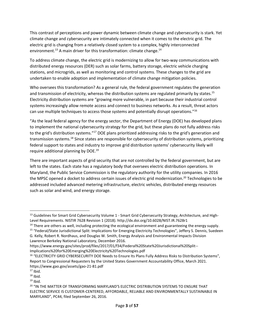environment.<sup>13</sup> A main driver for this transformation: climate change.<sup>14</sup> This contrast of perceptions and power dynamic between climate change and cybersecurity is stark. Yet climate change and cybersecurity are intimately connected when it comes to the electric grid. The electric grid is changing from a relatively closed system to a complex, highly interconnected

 undertaken to enable adoption and implementation of climate change mitigation policies. To address climate change, the electric grid is modernizing to allow for two-way communications with distributed energy resources (DER) such as solar farms, battery storage, electric vehicle charging stations, and microgrids, as well as monitoring and control systems. These changes to the grid are

Who oversees this transformation? As a general rule, the federal government regulates the generation and transmission of electricity, whereas the distribution systems are regulated primarily by states.<sup>15</sup> Electricity distribution systems are "growing more vulnerable, in part because their industrial control systems increasingly allow remote access and connect to business networks. As a result, threat actors can use multiple techniques to access those systems and potentially disrupt operations."<sup>16</sup>

to the grid's distribution systems."<sup>17</sup> DOE plans prioritized addressing risks to the grid's generation and federal support to states and industry to improve grid distribution systems' cybersecurity likely will "As the lead federal agency for the energy sector, the Department of Energy (DOE) has developed plans to implement the national cybersecurity strategy for the grid, but these plans do not fully address risks transmission systems.18 Since states are responsible for cybersecurity of distribution systems, prioritizing require additional planning by DOE.19

the MPSC opened a docket to address certain issues of electric grid modernization.<sup>20</sup> Technologies to be There are important aspects of grid security that are not controlled by the federal government, but are left to the states. Each state has a regulatory body that oversees electric distribution operations. In Maryland, the Public Service Commission is the regulatory authority for the utility companies. In 2016 addressed included advanced metering infrastructure, electric vehicles, distributed energy resources such as solar and wind, and energy storage.

<sup>&</sup>lt;sup>13</sup> Guidelines for Smart Grid Cybersecurity Volume 1 - Smart Grid Cybersecurity Strategy, Architecture, and HighLevel Requirements. NISTIR 7628 Revision 1 (2018). <http://dx.doi.org/10.6028/NIST.IR.7628r1><br><sup>14</sup> There are others as well, including protecting the ecological environment and guaranteeing the energy supply.<br><sup>15</sup> "Federal/S

G. Kelly, Robert R. Nordhaus, and Douglas W. Smith, Energy Analysis and Environmental Impacts Division Lawrence Berkeley National Laboratory, December 2016.

[https://www.energy.gov/sites/prod/files/2017/01/f34/Federal%20State%20Jurisdictional%20Split--](https://www.energy.gov/sites/prod/files/2017/01/f34/Federal%20State%20Jurisdictional%20Split--Implications%20for%20Emerging%20Electricity%20Technologies.pdf)

 Report to Congressional Requesters by the United States Government Accountability Office, March 2021. Implications%20for%20Emerging%20Electricity%20Technologies.pdf<br><sup>16</sup> "ELECTRICITY GRID CYBERSECURITY DOE Needs to Ensure Its Plans Fully Address Risks to Distribution Systems", <https://www.gao.gov/assets/gao-21-81.pdf>

 $17$  Ibid.

 $18$  Ibid.

 $19$  Ibid.

<sup>&</sup>lt;sup>19</sup> Ibid.<br><sup>20</sup> "IN THE MATTER OF TRANSFORMING MARYLAND'S ELECTRIC DISTRIBUTION SYSTEMS TO ENSURE THAT ELECTRIC SERVICE IS CUSTOMER-CENTERED, AFFORDABLE, RELIABLE AND ENVIRONMENTALLY SUSTAINABLE IN MARYLAND", PC44, filed September 26, 2016.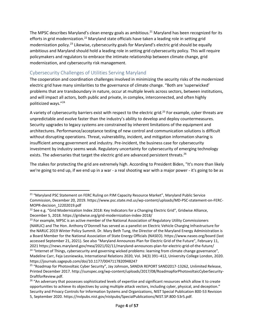The MPSC describes Maryland's clean energy goals as ambitious.<sup>21</sup> Maryland has been recognized for its efforts in grid modernization.<sup>22</sup> Maryland state officials have taken a leading role in setting grid modernization policy.23 Likewise, cybersecurity goals for Maryland's electric grid should be equally ambitious and Maryland should hold a leading role in setting grid cybersecurity policy. This will require policymakers and regulators to embrace the intimate relationship between climate change, grid modernization, and cybersecurity risk management.

# Cybersecurity Challenges of Utilities Serving Maryland

 politicized ways."<sup>24</sup> The cooperation and coordination challenges involved in minimizing the security risks of the modernized electric grid have many similarities to the governance of climate change. "Both are 'superwicked' problems that are transboundary in nature, occur at multiple levels across sectors, between institutions, and will impact all actors, both public and private, in complex, interconnected, and often highly

A variety of cybersecurity barriers exist with respect to the electric grid.<sup>25</sup> For example, cyber threats are investment by industry seems weak. Regulatory uncertainty for cybersecurity of emerging technology unpredictable and evolve faster than the industry's ability to develop and deploy countermeasures. Security upgrades to legacy systems are constrained by inherent limitations of the equipment and architectures. Performance/acceptance testing of new control and communication solutions is difficult without disrupting operations. Threat, vulnerability, incident, and mitigation information sharing is insufficient among government and industry. Pre-incident, the business case for cybersecurity exists. The adversaries that target the electric grid are advanced persistent threats.<sup>26</sup>

 we're going to end up, if we end up in a war - a real shooting war with a major power - it's going to be as The stakes for protecting the grid are extremely high. According to President Biden, "It's more than likely

<sup>&</sup>lt;sup>21</sup> "Marvland PSC Statement on FERC Ruling on PJM Capacity Resource Market", Maryland Public Service Commission, December 20, 2019. [https://www.psc.state.md.us/wp-content/uploads/MD-PSC-statement-on-FERC-](https://www.psc.state.md.us/wp-content/uploads/MD-PSC-statement-on-FERC-MOPR-decision_12202019.pdf)MOPR-decision\_12202019.pdf<br><sup>22</sup> See e.g. "Grid Modernization Index 2018: Key Indicators for a Changing Electric Grid", Gridwise Alliance,

December 5, 2018. https://gridwise.org/grid-modernization-index-2018/<br><sup>23</sup> For example, MPSC is an active member of the National Association of Regulatory Utility Commissioners

 (NARUC) and The Hon. Anthony O'Donnell has served as a panelist on Electric Vehicle Charging Infrastructure for a Board Member for the National Association of State Energy Officials (NASEO).<https://www.naseo.org/board>(last accessed September 21, 2021). See also "Maryland Announces Plan for Electric Grid of the Future", February 11, the NARUC 2019 Winter Policy Summit. Dr. Mary Beth Tung, the Director of the Maryland Energy Administration is 2021 https://news.maryland.gov/mea/2021/02/11/maryland-announces-plan-for-electric-grid-of-the-future/<br><sup>24</sup> "Internet of Things, cybersecurity and governing wicked problems: learning from climate change governance",

Madeline Carr, Feja Lesniewska, International Relations 2020, Vol. 34(3) 391–412, University College London, 2020. <https://journals.sagepub.com/doi/10.1177/0047117820948247>

<sup>&</sup>lt;sup>25</sup> "Roadmap for Photovoltaic Cyber Security", Jay Johnson, SANDIA REPORT SAND2017-13262, Unlimited Release, Printed December 2017. [http://sunspec.org/wp-content/uploads/2017/08/RoadmapforPhotovoltaicCyberSecurity-](http://sunspec.org/wp-content/uploads/2017/08/RoadmapforPhotovoltaicCyberSecurity-DraftforReview.pdf)[DraftforReview.pdf](http://sunspec.org/wp-content/uploads/2017/08/RoadmapforPhotovoltaicCyberSecurity-DraftforReview.pdf).

<sup>&</sup>lt;sup>26</sup> "An adversary that possesses sophisticated levels of expertise and significant resources which allow it to create opportunities to achieve its objectives by using multiple attack vectors, including cyber, physical, and deception." Security and Privacy Controls for Information Systems and Organizations, NIST Special Publication 800-53 Revision 5, September 2020. [https://nvlpubs.nist.gov/nistpubs/SpecialPublications/NIST.SP.800-53r5.pdf.](https://nvlpubs.nist.gov/nistpubs/SpecialPublications/NIST.SP.800-53r5.pdf)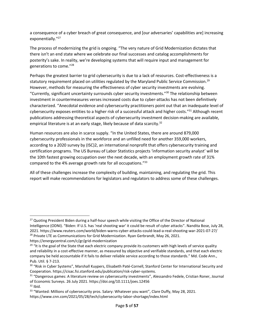a consequence of a cyber breach of great consequence, and [our adversaries' capabilities are] increasing exponentially."<sup>27</sup>

The process of modernizing the grid is ongoing. "The very nature of Grid Modernization dictates that there isn't an end state where we celebrate our final successes and catalog accomplishments for posterity's sake. In reality, we're developing systems that will require input and management for generations to come."<sup>28</sup>

 Perhaps the greatest barrier to grid cybersecurity is due to a lack of resources. Cost-effectiveness is a However, methods for measuring the effectiveness of cyber security investments are evolving. characterized. "Anecdotal evidence and cybersecurity practitioners point out that an inadequate level of statutory requirement placed on utilities regulated by the Maryland Public Service Commission.<sup>29</sup> "Currently, significant uncertainty surrounds cyber security investments."30 The relationship between investment in countermeasures verses increased costs due to cyber-attacks has not been definitively cybersecurity exposes entities to a higher risk of a successful attack and higher costs."<sup>31</sup> Although recent publications addressing theoretical aspects of cybersecurity investment decision-making are available, empirical literature is at an early stage, likely because of data scarcity.<sup>32</sup>

 certification programs. The US Bureau of Labor Statistics projects 'information security analyst' will be the 10th fastest growing occupation over the next decade, with an employment growth rate of 31% Human resources are also in scarce supply. "In the United States, there are around 879,000 cybersecurity professionals in the workforce and an unfilled need for another 359,000 workers, according to a 2020 survey by (ISC)2, an international nonprofit that offers cybersecurity training and compared to the 4% average growth rate for all occupations."<sup>33</sup>

All of these challenges increase the complexity of building, maintaining, and regulating the grid. This report will make recommendations for legislators and regulators to address some of these challenges.

<sup>&</sup>lt;sup>27</sup> Quoting President Biden during a half-hour speech while visiting the Office of the Director of National Intelligence (ODNI). "Biden: If U.S. has 'real shooting war' it could be result of cyber attacks". Nandita Bose, July 28, 2021. [https://www.reuters.com/world/biden-warns-cyber-attacks-could-lead-a-real-shooting-war-2021-07-27/](https://www.reuters.com/world/biden-warns-cyber-attacks-could-lead-a-real-shooting-war-2021-07-27) <sup>28</sup> Private LTE as Communications for Grid Modernization. Ryan Gerbrandt, May 26, 2021.

<https://energycentral.com/c/gr/grid-modernization>

 $29$  "It is the goal of the State that each electric company provide its customers with high levels of service quality and reliability in a cost-effective manner, as measured by objective and verifiable standards, and that each electric company be held accountable if it fails to deliver reliable service according to those standards." Md. Code Ann., Pub. Util. § 7-213.<br><sup>30</sup> "Risk in Cyber Systems", Marshall Kuypers, Elisabeth Paté-Cornell, Stanford Center for International Security and

Cooperation. [https://cisac.fsi.stanford.edu/publication/risk-cyber-systems.](https://cisac.fsi.stanford.edu/publication/risk-cyber-systems)<br><sup>31</sup> "Dangerous games: A literature review on cybersecurity investments", Alessandro Fedele, Cristian Roner, Journal

of Economic Surveys. 26 July 2021. https://doi.org/10.1111/joes.12456

 $32$  Ibid.

<sup>&</sup>lt;sup>33</sup> "Wanted: Millions of cybersecurity pros. Salary: Whatever you want", Clare Duffy, May 28, 2021.

<https://www.cnn.com/2021/05/28/tech/cybersecurity-labor-shortage/index.html>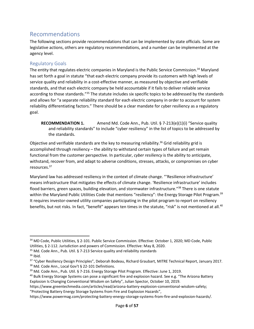# Recommendations

The following sections provide recommendations that can be implemented by state officials. Some are legislative actions, others are regulatory recommendations, and a number can be implemented at the agency level.

## Regulatory Goals

The entity that regulates electric companies in Maryland is the Public Service Commission.<sup>34</sup> Maryland has set forth a goal in statute "that each electric company provide its customers with high levels of service quality and reliability in a cost-effective manner, as measured by objective and verifiable standards, and that each electric company be held accountable if it fails to deliver reliable service according to those standards."<sup>35</sup> The statute includes six specific topics to be addressed by the standards and allows for "a separate reliability standard for each electric company in order to account for system reliability differentiating factors." There should be a clear mandate for cyber resiliency as a regulatory goal.

**RECOMMENDATION 1.** Amend Md. Code Ann., Pub. Util. § 7-213(e)(1)(i) "Service quality and reliability standards" to include "cyber resiliency" in the list of topics to be addressed by the standards.

 accomplished through resiliency – the ability to withstand certain types of failure and yet remain functional from the customer perspective. In particular, *cyber resiliency* is the ability to anticipate, Objective and verifiable standards are the key to measuring reliability.<sup>36</sup> Grid reliability grid is withstand, recover from, and adapt to adverse conditions, stresses, attacks, or compromises on cyber resources.<sup>37</sup>

 Maryland law has addressed resiliency in the context of climate change. "'Resilience infrastructure' flood barriers, green spaces, building elevation, and stormwater infrastructure."<sup>38</sup> There is one statute It requires investor-owned utility companies participating in the pilot program to report on resiliency benefits, but not risks. In fact, "benefit" appears ten times in the statute, "risk" is not mentioned at all.<sup>40</sup> means infrastructure that mitigates the effects of climate change. 'Resilience infrastructure' includes within the Maryland Public Utilities Code that mentions "resiliency": the Energy Storage Pilot Program.<sup>39</sup>

<sup>34</sup> MD Code, Public Utilities, § 2-101. Public Service Commission. Effective: October 1, 2020; MD Code, Public

Utilities, § 2-112. Jurisdiction and powers of Commission. Effective: May 8, 2020. 35 Md. Code Ann., Pub. Util. § 7-213 Service quality and reliability standards

 $36$  Ibid.

<sup>&</sup>lt;sup>37</sup> "Cyber Resiliency Design Principles", Deborah Bodeau, Richard Graubart, MITRE Technical Report, January 2017.<br><sup>38</sup> Md. Code Ann., Local Gov't § 22-101 Definitions.<br><sup>39</sup> Md. Code Ann., Pub. Util. § 7-216. Energy Storag

Explosion Is Changing Conventional Wisdom on Safety", Julian Spector, October 10, 2019.

<https://www.greentechmedia.com/articles/read/arizona-battery-explosion-conventional-wisdom-safety>; "Protecting Battery Energy Storage Systems from Fire and Explosion Hazards",

[https://www.powermag.com/protecting-battery-energy-storage-systems-from-fire-and-explosion-hazards/](https://www.powermag.com/protecting-battery-energy-storage-systems-from-fire-and-explosion-hazards).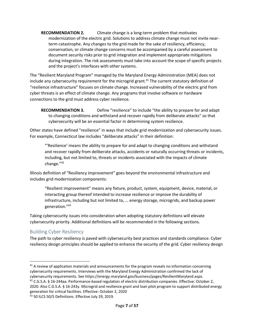and the project's interfaces with other systems. **RECOMMENDATION 2.** Climate change is a long-term problem that motivates modernization of the electric grid. Solutions to address climate change must not invite nearterm catastrophe. Any changes to the grid made for the sake of resiliency, efficiency, conservation, or climate change concerns must be accompanied by a careful assessment to document security risks prior to grid integration and implement appropriate mitigations during integration. The risk assessments must take into account the scope of specific projects

 The "Resilient Maryland Program" managed by the Maryland Energy Administration (MEA) does not "resilience infrastructure" focuses on climate change. Increased vulnerability of the electric grid from cyber threats is an effect of climate change. Any programs that involve software or hardware include any cybersecurity requirement for the microgrid grant.<sup>41</sup> The current statutory definition of connections to the grid must address cyber resilience.

 cybersecurity will be an essential factor in determining system resilience. **RECOMMENDATION 3.** Define "resilience" to include "the ability to prepare for and adapt to changing conditions and withstand and recover rapidly from deliberate attacks" so that

 For example, Connecticut law includes "deliberate attacks" in their definition: Other states have defined "resilience" in ways that include grid modernization and cybersecurity issues.

change."<sup>42</sup> "'Resilience' means the ability to prepare for and adapt to changing conditions and withstand and recover rapidly from deliberate attacks, accidents or naturally occurring threats or incidents, including, but not limited to, threats or incidents associated with the impacts of climate

Illinois definition of "Resiliency improvement" goes beyond the environmental infrastructure and includes grid modernization components:

"Resilient improvement" means any fixture, product, system, equipment, device, material, or interacting group thereof intended to increase resilience or improve the durability of infrastructure, including but not limited to, … energy storage, microgrids, and backup power generation."<sup>43</sup>

 cybersecurity priority. Additional definitions will be recommended in the following sections. Taking cybersecurity issues into consideration when adopting statutory definitions will elevate

## Building Cyber Resiliency

 resiliency design principles should be applied to enhance the security of the grid. Cyber resiliency design The path to cyber resiliency is paved with cybersecurity best practices and standards compliance. Cyber

 2020. Also C.G.S.A. § 16-243y. Microgrid and resilience grant and loan pilot program to support distributed energy <sup>42</sup> C.G.S.A. § 16-244aa. Performance-based regulation of electric distribution companies. Effective: October 2, generation for critical facilities. Effective: October 2, 2020<br><sup>43</sup> 50 ILCS 50/5 Definitions. Effective July 29, 2019.

cybersecurity requirements. See https://energy.maryland.gov/business/pages/ResilientMaryland.aspx. <sup>41</sup> A review of application materials and announcements for the program reveals no information concerning cybersecurity requirements. Interviews with the Maryland Energy Administration confirmed the lack of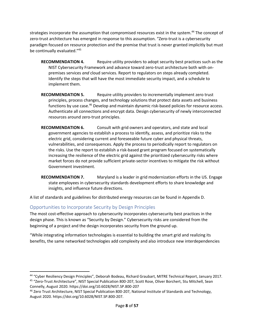strategies incorporate the assumption that compromised resources exist in the system.<sup>44</sup> The concept of zero-trust architecture has emerged in response to this assumption. "Zero-trust is a cybersecurity paradigm focused on resource protection and the premise that trust is never granted implicitly but must be continually evaluated."<sup>45</sup>

- Identify the steps that will have the most immediate security impact, and a schedule to **RECOMMENDATION 4.** Require utility providers to adopt security best practices such as the NIST Cybersecurity Framework and advance toward zero-trust architecture both with onpremises services *and* cloud services. Report to regulators on steps already completed. implement them.
- **RECOMMENDATION 5.** Require utility providers to incrementally implement zero trust principles, process changes, and technology solutions that protect data assets and business functions by use case.<sup>46</sup> Develop and maintain dynamic risk-based policies for resource access. Authenticate all connections and encrypt data. Design cybersecurity of newly interconnected resources around zero-trust principles.
- **RECOMMENDATION 6.** Consult with grid owners and operators, and state and local government agencies to establish a process to identify, assess, and prioritize risks to the electric grid, considering current and foreseeable future cyber and physical threats, vulnerabilities, and consequences. Apply the process to periodically report to regulators on the risks. Use the report to establish a risk-based grant program focused on systematically increasing the resilience of the electric grid against the prioritized cybersecurity risks where market forces do not provide sufficient private-sector incentives to mitigate the risk without Government investment.
- **RECOMMENDATION 7.** Maryland is a leader in grid modernization efforts in the US. Engage state employees in cybersecurity standards development efforts to share knowledge and insights, and influence future directions.

A list of standards and guidelines for distributed energy resources can be found in Appendix D.

## Opportunities to Incorporate Security by Design Principles

The most cost-effective approach to cybersecurity incorporates cybersecurity best practices in the design phase. This is known as "Security by Design." Cybersecurity risks are considered from the beginning of a project and the design incorporates security from the ground up.

"While integrating information technologies is essential to building the smart grid and realizing its benefits, the same networked technologies add complexity and also introduce new interdependencies

<sup>44</sup> "Cyber Resiliency Design Principles", Deborah Bodeau, Richard Graubart, MITRE Technical Report, January 2017.

<sup>45</sup> "Zero-Trust Architecture", NIST Special Publication 800-207, Scott Rose, Oliver Borchert, Stu Mitchell, Sean Connelly, August 2020. <https://doi.org/10.6028/NIST.SP.800-207><br><sup>46</sup> Zero Trust Architecture, NIST Special Publication 800-207, National Institute of Standards and Technology,

August 2020. <https://doi.org/10.6028/NIST.SP.800-207>.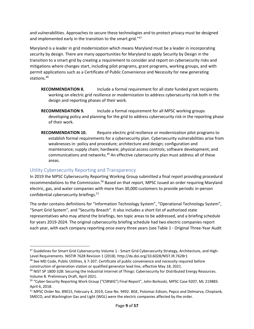and vulnerabilities. Approaches to secure these technologies and to protect privacy must be designed and implemented early in the transition to the smart grid."47

 security by design. There are many opportunities for Maryland to apply Security by Design in the mitigations where changes start, including pilot programs, grant programs, working groups, and with permit applications such as a Certificate of Public Convenience and Necessity for new generating Maryland is a leader in grid modernization which means Maryland must be a leader in incorporating transition to a smart grid by creating a requirement to consider and report on cybersecurity risks and stations.<sup>48</sup>

- **RECOMMENDATION 8.** Include a formal requirement for all state funded grant recipients working on electric grid resilience or modernization to address cybersecurity risk both in the design and reporting phases of their work.
- **RECOMMENDATION 9.** Include a formal requirement for all MPSC working groups developing policy and planning for the grid to address cybersecurity risk in the reporting phase of their work.
- establish formal requirements for a cybersecurity plan. Cybersecurity vulnerabilities arise from weaknesses in: policy and procedure; architecture and design; configuration and communications and networks.<sup>49</sup> An effective cybersecurity plan must address all of these **RECOMMENDATION 10.** Require electric grid resilience or modernization pilot programs to maintenance; supply chain; hardware; physical access controls; software development; and areas.

#### Utility Cybersecurity Reporting and Transparency

 In 2019 the MPSC Cybersecurity Reporting Working Group submitted a final report providing procedural recommendations to the Commission.<sup>50</sup> Based on that report, MPSC issued an order requiring Maryland confidential cybersecurity briefings.<sup>51</sup> electric, gas, and water companies with more than 30,000 customers to provide periodic in-person

 "Smart Grid System", and "Security Breach". It also includes a short list of authorized state each year, with each company reporting once every three years (see Table 1 - Original Three-Year Audit The order contains definitions for "Information Technology System", "Operational Technology System", representatives who may attend the briefings, ten topic areas to be addressed, and a briefing schedule for years 2019-2024. The original cybersecurity briefing schedule had two electric companies report

<sup>&</sup>lt;sup>47</sup> Guidelines for Smart Grid Cybersecurity Volume 1 - Smart Grid Cybersecurity Strategy, Architecture, and HighLevel Requirements. NISTIR 7628 Revision 1 (2018). <http://dx.doi.org/10.6028/NIST.IR.7628r1><br><sup>48</sup> See MD Code, Public Utilities, § 7-207. Certificate of public convenience and necessity required before

construction of generation station or qualified generator lead line, effective May 18, 2021.

<sup>&</sup>lt;sup>49</sup> NIST SP 1800-32B: Securing the Industrial Internet of Things: Cybersecurity for Distributed Energy Resources. Volume B. Preliminary Draft, April 2021.

<sup>50</sup>"Cyber-Security Reporting Work Group ("CSRWG") Final Report", John Borkoski, MPSC Case 9207, ML 219883. April 6, 2018.

<sup>51</sup> MPSC Order No. 89015, February 4, 2019, Case No. 9492. BGE, Potomac Edison, Pepco and Delmarva, Choptank, SMECO, and Washington Gas and Light (WGL) were the electric companies affected by the order.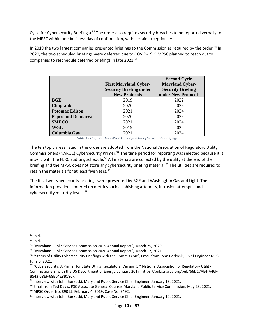Cycle for Cybersecurity Briefings).<sup>52</sup> The order also requires security breaches to be reported verbally to the MPSC within one business day of confirmation, with certain exceptions.<sup>53</sup>

In 2019 the two largest companies presented briefings to the Commission as required by the order.<sup>54</sup> In 2020, the two scheduled briefings were deferred due to COVID-19.<sup>55</sup> MPSC planned to reach out to companies to reschedule deferred briefings in late 2021.56

|                           | <b>First Maryland Cyber-</b><br><b>Security Briefing under</b><br><b>New Protocols</b> | <b>Second Cycle</b><br><b>Maryland Cyber-</b><br><b>Security Briefing</b><br>under New Protocols |
|---------------------------|----------------------------------------------------------------------------------------|--------------------------------------------------------------------------------------------------|
|                           |                                                                                        |                                                                                                  |
| <b>BGE</b>                | 2019                                                                                   | 2022                                                                                             |
| <b>Choptank</b>           | 2020                                                                                   | 2023                                                                                             |
| <b>Potomac Edison</b>     | 2021                                                                                   | 2024                                                                                             |
| <b>Pepco and Delmarva</b> | 2020                                                                                   | 2023                                                                                             |
| <b>SMECO</b>              | 2021                                                                                   | 2024                                                                                             |
| WGL                       | 2019                                                                                   | 2022                                                                                             |
| <b>Columbia Gas</b>       | 2021                                                                                   | 2024                                                                                             |

 *Table 1 - Original Three-Year Audit Cycle for Cybersecurity Briefings* 

Commissioners (NARUC) Cybersecurity Primer.<sup>57</sup> The time period for reporting was selected because it is briefing and the MPSC does not store any cybersecurity briefing material.<sup>59</sup> The utilities are required to The ten topic areas listed in the order are adopted from the National Association of Regulatory Utility in sync with the FERC auditing schedule.<sup>58</sup> All materials are collected by the utility at the end of the retain the materials for at least five years.<sup>60</sup>

cybersecurity maturity levels.<sup>61</sup> The first two cybersecurity briefings were presented by BGE and Washington Gas and Light. The information provided centered on metrics such as phishing attempts, intrusion attempts, and

<sup>&</sup>lt;sup>52</sup> Ibid.

 $53$  Ibid.

<sup>54</sup> "Maryland Public Service Commission 2019 Annual Report", March 25, 2020.

<sup>55</sup> "Maryland Public Service Commission 2020 Annual Report", March 17, 2021.

<sup>&</sup>lt;sup>56</sup> "Status of Utility Cybersecurity Briefings with the Commission", Email from John Borkoski, Chief Engineer MPSC, June 3, 2021.

<sup>57</sup> "Cybersecurity: A Primer for State Utility Regulators, Version 3." National Association of Regulatory Utility Commissioners, with the US Department of Energy. January 2017. [https://pubs.naruc.org/pub/66D17AE4-A46F-](https://pubs.naruc.org/pub/66D17AE4-A46F-43-58EF-68B04E8B180F)

[B543-58EF-68B04E8B180F](https://pubs.naruc.org/pub/66D17AE4-A46F-43-58EF-68B04E8B180F).<br><sup>58</sup> Interview with John Borkoski, Maryland Public Service Chief Engineer, January 19, 2021.<br><sup>59</sup> Email from Ted Davis, PSC Associate General Counsel Maryland Public Service Commission, May 28, 2021

<sup>&</sup>lt;sup>61</sup> Interview with John Borkoski, Maryland Public Service Chief Engineer, January 19, 2021.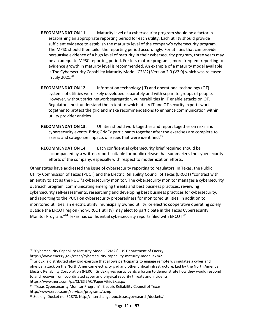- persuasive evidence of a high level of maturity in their cybersecurity program, three years may is The Cybersecurity Capability Maturity Model (C2M2) Version 2.0 (V2.0) which was released in July 2021.<sup>62</sup> **RECOMMENDATION 11.** Maturity level of a cybersecurity program should be a factor in establishing an appropriate reporting period for each utility. Each utility should provide sufficient evidence to establish the maturity level of the company's cybersecurity program. The MPSC should then tailor the reporting period accordingly. For utilities that can provide be an adequate MPSC reporting period. For less mature programs, more frequent reporting to evidence growth in maturity level is recommended. An example of a maturity model available
- **RECOMMENDATION 12.** Information technology (IT) and operational technology (OT) Regulators must understand the extent to which utility IT and OT security experts work together to protect the grid and make recommendations to enhance communication within systems of utilities were likely developed separately and with separate groups of people. However, without strict network segregation, vulnerabilities in IT enable attacks on OT. utility provider entities.
- **RECOMMENDATION 13.** Utilities should work together and report together on risks and cybersecurity events. Bring GridEx participants together after the exercises are complete to assess and categorize impacts of issues that were identified.<sup>63</sup>
- **RECOMMENDATION 14.** Each confidential cybersecurity brief required should be accompanied by a written report suitable for public release that summarizes the cybersecurity efforts of the company, especially with respect to modernization efforts.

 Other states have addressed the issue of cybersecurity reporting to regulators. In Texas, the Public Utility Commission of Texas (PUCT) and the Electric Reliability Council of Texas (ERCOT) "contract with and reporting to the PUCT on cybersecurity preparedness for monitored utilities. In addition to an entity to act as the PUCT's cybersecurity monitor. The cybersecurity monitor manages a cybersecurity outreach program, communicating emerging threats and best business practices, reviewing cybersecurity self-assessments, researching and developing best business practices for cybersecurity, monitored utilities, an electric utility, municipally owned utility, or electric cooperative operating solely outside the ERCOT region (non-ERCOT utility) may elect to participate in the Texas Cybersecurity Monitor Program."<sup>64</sup> Texas has confidential cybersecurity reports filed with ERCOT.<sup>65</sup>

<https://www.nerc.com/pa/CI/ESISAC/Pages/GridEx.aspx>

<sup>&</sup>lt;sup>62</sup> "Cybersecurity Capability Maturity Model (C2M2)", US Department of Energy.

[https://www.energy.gov/ceser/cybersecurity-capability-maturity-model-c2m2.](https://www.energy.gov/ceser/cybersecurity-capability-maturity-model-c2m2)<br><sup>63</sup> GridEx, a distributed play grid exercise that allows participants to engage remotely, simulates a cyber and physical attack on the North American electricity grid and other critical infrastructure. Led by the North American Electric Reliability Corporation (NERC), GridEx gives participants a forum to demonstrate how they would respond to and recover from coordinated cyber and physical security threats and incidents.

<sup>&</sup>lt;sup>64</sup> "Texas Cybersecurity Monitor Program", Electric Reliability Council of Texas.

<http://www.ercot.com/services/programs/tcmp>.<br><sup>65</sup> See e.g. Docket no. 51878. http://interchange.puc.texas.gov/search/dockets/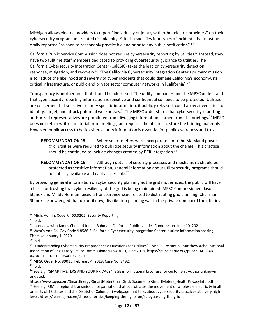Michigan allows electric providers to report "individually or jointly with other electric providers" on their cybersecurity program and related risk planning.<sup>66</sup> It also specifies four types of incidents that must be orally reported "as soon as reasonably practicable and prior to any public notification".<sup>67</sup>

California Public Service Commission does not require cybersecurity reporting by utilities.<sup>68</sup> Instead, they California Cybersecurity Integration Center (CalCSIC) takes the lead on cybersecurity detection, have two fulltime staff members dedicated to providing cybersecurity guidance to utilities. The response, mitigation, and recovery.<sup>69</sup> "The California Cybersecurity Integration Center's primary mission is to reduce the likelihood and severity of cyber incidents that could damage California's economy, its critical infrastructure, or public and private sector computer networks in [California]."<sup>70</sup>

authorized representatives are prohibited from divulging information learned from the briefings.<sup>72</sup> MPSC does not retain written material from briefings, but requires the utilities to store the briefing materials.<sup>73</sup> However, public access to basic cybersecurity information is essential for public awareness and trust. Transparency is another area that should be addressed. The utility companies and the MPSC understand that cybersecurity reporting information is sensitive and confidential so needs to be protected. Utilities are concerned that sensitive security specific information, if publicly released, could allow adversaries to identify, target, and attack potential weaknesses.<sup>71</sup> The MPSC order states that cybersecurity reporting

 grid, utilities were required to publicize security information about the change. This practice **RECOMMENDATION 15.** When smart meters were incorporated into the Maryland power should be continued to include changes created by DER integration.<sup>74</sup>

**RECOMMENDATION 16.** Although details of security processes and mechanisms should be protected as sensitive information, general information about utility security programs should be publicly available and easily accessible.<sup>75</sup>

 By providing general information on cybersecurity planning as the grid modernizes, the public will have Stanek and Mindy Herman raised a transparency issue related to distributing grid planning. Chairman a basis for trusting that cyber resiliency of the grid is being maintained. MPSC Commissioners Jason Stanek acknowledged that up until now, distribution planning was in the private domain of the utilities

<sup>&</sup>lt;sup>66</sup> Mich. Admin. Code R 460.3205. Security Reporting.

 $67$  Ibid.

<sup>&</sup>lt;sup>68</sup> Interview with James Cho and Junaid Rahman, California Public Utilities Commission, June 10, 2021.<br><sup>69</sup> West's Ann.Cal.Gov.Code § 8586.5. California Cybersecurity Integration Center; duties; information sharing. Effective January 1, 2020.

 $70$  Ibid.

<sup>71</sup> "Understanding Cybersecurity Preparedness: Questions for Utilities", Lynn P. Costantini, Matthew Acho, National Association of Regulatory Utility Commissioners (NARUC), June 2019. [https://pubs.naruc.org/pub/3BACB84B-](https://pubs.naruc.org/pub/3BACB84B-AA8A-0191-61FB-E9546E77F220)[AA8A-0191-61FB-E9546E77F220](https://pubs.naruc.org/pub/3BACB84B-AA8A-0191-61FB-E9546E77F220).<br><sup>72</sup> MPSC Order No. 89015, February 4, 2019, Case No. 9492.<br><sup>73</sup> Ibid. 74 See e.g. "SMART METERS AND YOUR PRIVACY", BGE informational brochure for customers. Author unknown,

 $73$  Ibid.

undated.

[https://www.bge.com/SmartEnergy/SmartMeterSmartGrid/Documents/SmartMeters\\_HealthPrivacyInfo.pdf](https://www.bge.com/SmartEnergy/SmartMeterSmartGrid/Documents/SmartMeters_HealthPrivacyInfo.pdf)  $75$  See e.g. PJM (a regional transmission organization that coordinates the movement of wholesale electricity in all or parts of 13 states and the District of Columbia) webpage that talks about cybersecurity practices at a very high level. [https://learn.pjm.com/three-priorities/keeping-the-lights-on/safeguarding-the-grid.](https://learn.pjm.com/three-priorities/keeping-the-lights-on/safeguarding-the-grid)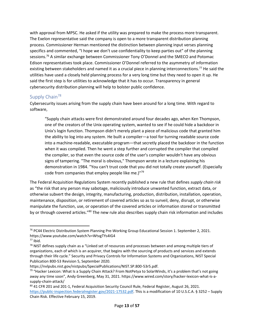with approval from MPSC. He asked if the utility was prepared to make the process more transparent. utilities have used a closely held planning process for a very long time but they need to open it up. He said the first step is for utilities to acknowledge that it has to occur. Transparency in general The Exelon representative said the company is open to a more transparent distribution planning process. Commissioner Herman mentioned the distinction between planning input verses planning specifics and commented, "I hope we don't use confidentiality to keep parties out" of the planning sessions.<sup>76</sup> A similar exchange between Commissioner Tony O'Donnel and the SMECO and Potomac Edison representatives took place. Commissioner O'Donnel referred to the asymmetry of information existing between stakeholders and named it as a crucial piece in planning interconnections.<sup>77</sup> He said the cybersecurity distribution planning will help to bolster public confidence.

# Supply Chain<sup>78</sup>

 software, Cybersecurity issues arising from the supply chain have been around for a long time. With regard to

 Unix's login function. Thompson didn't merely plant a piece of malicious code that granted him "Supply chain attacks were first demonstrated around four decades ago, when Ken Thompson, one of the creators of the Unix operating system, wanted to see if he could hide a backdoor in the ability to log into any system. He built a compiler—a tool for turning readable source code into a machine-readable, executable program—that secretly placed the backdoor in the function when it was compiled. Then he went a step further and corrupted the compiler that compiled the compiler, so that even the source code of the user's compiler wouldn't have any obvious signs of tampering. "The moral is obvious," Thompson wrote in a lecture explaining his demonstration in 1984. "You can't trust code that you did not totally create yourself. (Especially code from companies that employ people like me.)"<sup>79</sup>

The Federal Acquisition Regulations System recently published a new rule that defines *supply chain risk*  as "the risk that any person may sabotage, maliciously introduce unwanted function, extract data, or otherwise subvert the design, integrity, manufacturing, production, distribution, installation, operation, maintenance, disposition, or retirement of covered articles so as to surveil, deny, disrupt, or otherwise manipulate the function, use, or operation of the covered articles or information stored or transmitted by or through covered articles."<sup>80</sup> The new rule also describes supply chain risk information and includes

<sup>76</sup> PC44 Electric Distribution System Planning Pre-Working Group Educational Session 1. September 2, 2021. <https://www.youtube.com/watch?v=WtvgTYs4IG4>

 $77$  Ibid.

 $78$  NIST defines supply chain as a "Linked set of resources and processes between and among multiple tiers of organizations, each of which is an acquirer, that begins with the sourcing of products and services and extends through their life cycle." Security and Privacy Controls for Information Systems and Organizations, NIST Special Publication 800-53 Revision 5, September 2020.

[https://nvlpubs.nist.gov/nistpubs/SpecialPublications/NIST.SP.800-53r5.pdf.](https://nvlpubs.nist.gov/nistpubs/SpecialPublications/NIST.SP.800-53r5.pdf)<br><sup>79</sup> "Hacker Lexicon: What Is a Supply Chain Attack? From NotPetya to SolarWinds, it's a problem that's not going away any time soon", Andy Greenberg, May 31, 2021. [https://www.wired.com/story/hacker-lexicon-what-is-a](https://www.wired.com/story/hacker-lexicon-what-is-a-supply-chain-attack/)[supply-chain-attack/](https://www.wired.com/story/hacker-lexicon-what-is-a-supply-chain-attack/) 

<https://public-inspection.federalregister.gov/2021-17532.pdf>. This is a modification of 10 U.S.C.A. § 3252 – Supply 80 41 CFR 201 and 201-1, Federal Acquisition Security Council Rule, Federal Register, August 26, 2021. Chain Risk. Effective February 15, 2019.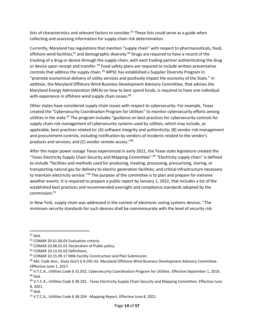lists of characteristics and relevant factors to consider.<sup>81</sup> These lists could serve as a guide when collecting and assessing information for supply chain risk determination.

 Currently, Maryland has regulations that mention "supply chain" with respect to pharmaceuticals, food, tracking of a drug or device through the supply chain, with each trading partner authenticating the drug offshore wind facilities,<sup>82</sup> and demographic diversity.<sup>83</sup> Drugs are required to have a record of the or device upon receipt and transfer. <sup>84</sup> Food safety plans are required to include written preventative controls that address the supply chain. <sup>85</sup> MPSC has established a Supplier Diversity Program to "promote economical delivery of utility services and positively impact the economy of the State." In addition, the Maryland Offshore Wind Business Development Advisory Committee, that advises the Maryland Energy Administration (MEA) on how to best spend funds, is required to have one individual with experience in offshore wind supply chain issues.<sup>86</sup>

 created the "Cybersecurity Coordination Program for Utilities" to monitor cybersecurity efforts among utilities in the state.<sup>87</sup> The program includes "guidance on best practices for cybersecurity controls for supply chain risk management of cybersecurity systems used by utilities, which may include, as Other states have considered supply chain issues with respect to cybersecurity. For example, Texas applicable, best practices related to: (A) software integrity and authenticity; (B) vendor risk management and procurement controls, including notification by vendors of incidents related to the vendor's products and services; and (C) vendor remote access."<sup>88</sup>

 After the major power outage Texas experienced in early 2021, the Texas state legislature created the transporting natural gas for delivery to electric generation facilities; and critical infrastructure necessary "Texas Electricity Supply Chain Security and Mapping Committee".<sup>89</sup> "Electricity supply chain" is defined to include "facilities and methods used for producing, treating, processing, pressurizing, storing, or to maintain electricity service."<sup>90</sup> The purpose of the committee is to plan and prepare for extreme weather events. It is required to prepare a public report by January 1, 2022, that includes a list of the established best practices and recommended oversight and compliance standards adopted by the commission.91

 In New York, supply chain was addressed in the context of electronic voting systems devices. "The minimum security standards for such devices shall be commensurate with the level of security risk

 $81$  Ibid.

<sup>&</sup>lt;sup>82</sup> COMAR 20.61.06.03 Evaluation criteria.<br><sup>83</sup> COMAR 20.08.01.01 Declaration of Public policy.<br><sup>84</sup> COMAR 10.13.02.02 Definitions.<br><sup>85</sup> COMAR 10.15.09.17 Milk Facility Construction and Plan Submission.<br><sup>85</sup> Md. Code Ann. Efffective June 1, 2017.

 $88$  Ibid. 87 V.T.C.A., Utilities Code § 31.052. Cybersecurity Coordination Program for Utilities. Effective September 1, 2019.

<sup>89</sup> V.T.C.A., Utilities Code § 38.201 - Texas Electricity Supply Chain Security and Mapping Committee. Effective June 8, 2021.

<sup>&</sup>lt;sup>90</sup> Ibid.

<sup>&</sup>lt;sup>91</sup> V.T.C.A., Utilities Code § 38.204 - Mapping Report. Effective June 8, 2021.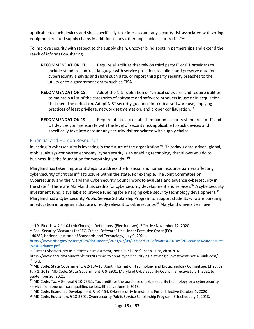equipment-related supply chains in addition to any other applicable security risk."<sup>92</sup> applicable to such devices and shall specifically take into account any security risk associated with voting

 To improve security with respect to the supply chain, uncover blind spots in partnerships and extend the reach of information sharing.

- utility or to a government entity such as CISA. **RECOMMENDATION 17.** Require all utilities that rely on third party IT or OT providers to include standard contract language with service providers to collect and preserve data for cybersecurity analysis and share such data, or report third party security breaches to the
- to maintain a list of the categories of software and software products in use or in acquisition **RECOMMENDATION 18.** Adopt the NIST definition of "critical software" and require utilities that meet the definition. Adopt NIST security guidance for critical software use, applying practices of least privilege, network segmentation, and proper configuration. 93
- **RECOMMENDATION 19.** Require utilities to establish minimum security standards for IT and OT devices commensurate with the level of security risk applicable to such devices and specifically take into account any security risk associated with supply chains.

## Financial and Human Resources

Investing in cybersecurity is investing in the future of the organization.<sup>94</sup> "In today's data-driven, global, mobile, always-connected economy, cybersecurity is an enabling technology that allows you do to business. It is the foundation for everything you do."<sup>95</sup>

Maryland has taken important steps to address the financial and human resource barriers affecting cybersecurity of critical infrastructure within the state. For example, The Joint Committee on Cybersecurity and the Maryland Cybersecurity Council work to evaluate and advance cybersecurity in the state.<sup>96</sup> There are Maryland tax credits for cybersecurity development and services.<sup>97</sup> A cybersecurity investment fund is available to provide funding for emerging cybersecurity technology development.<sup>98</sup> Maryland has a Cybersecurity Public Service Scholarship Program to support students who are pursuing an education in programs that are directly relevant to cybersecurity.<sup>99</sup> Maryland universities have

<sup>&</sup>lt;sup>92</sup> N.Y. Elec. Law § 1-104 (McKinney) – Definitions. (Election Law). Effective November 12, 2020.<br><sup>93</sup> See "Security Measures for "EO-Critical Software" Use Under Executive Order (EO) 93 See "Security Measures for "EO-Critical Software" Use Under Executive Order (EO)

<sup>14028&</sup>quot;, National Institute of Standards and Technology, July 9, 2021.

[https://www.nist.gov/system/files/documents/2021/07/09/Critical%20Software%20Use%20Security%20Measures](https://www.nist.gov/system/files/documents/2021/07/09/Critical%20Software%20Use%20Security%20Measures%20Guidance.pdf)  [%20Guidance.pdf.](https://www.nist.gov/system/files/documents/2021/07/09/Critical%20Software%20Use%20Security%20Measures%20Guidance.pdf)<br><sup>94</sup> "Treat Cybersecurity as a Strategic Investment, Not a Sunk Cost", Sean Duca, circa 2018.

 $95$  Ibid. https://www.securityroundtable.org/its-time-to-treat-cybersecurity-as-a-strategic-investment-not-a-sunk-cost/<br><sup>95</sup> Ibid.<br><sup>96</sup> MD Code, State Government, § 2-10A-13. Joint Information Technology and Biotechnology Committee.

July 1, 2019. MD Code, State Government, § 9-2901. Maryland Cybersecurity Council. Effective July 1, 2021 to September 30, 2021.

 $97$  MD Code, Tax – General § 10-733.1. Tax credit for the purchase of cybersecurity technology or a cybersecurity service from one or more qualified sellers. Effective June 1, 2018.

<sup>&</sup>lt;sup>98</sup> MD Code, Economic Development, § 10-464. Cybersecurity Investment Fund. Effective October 1, 2020.<br><sup>99</sup> MD Code, Education, § 18-3502. Cybersecurity Public Service Scholarship Program. Effective July 1, 2018.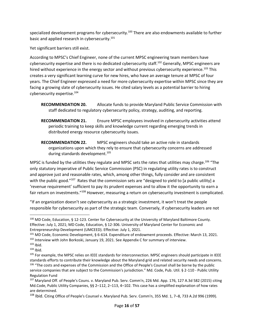specialized development programs for cybersecurity.100 There are also endowments available to further basic and applied research in cybersecurity.<sup>101</sup>

Yet significant barriers still exist.

 According to MPSC's Chief Engineer, none of the current MPSC engineering team members have cybersecurity expertise and there is no dedicated cybersecurity staff.<sup>102</sup> Generally, MPSC engineers are hired without experience in the energy sector and without previous cybersecurity experience.<sup>103</sup> This creates a very significant learning curve for new hires, who have an average tenure at MPSC of four years. The Chief Engineer expressed a need for more cybersecurity expertise within MPSC since they are facing a growing slate of cybersecurity issues. He cited salary levels as a potential barrier to hiring cybersecurity expertise.104

- **RECOMMENDATION 20.** Allocate funds to provide Maryland Public Service Commission with staff dedicated to regulatory cybersecurity policy, strategy, auditing, and reporting.
- **RECOMMENDATION 21.** Ensure MPSC employees involved in cybersecurity activities attend periodic training to keep skills and knowledge current regarding emerging trends in distributed energy resource cybersecurity issues.
- **RECOMMENDATION 22.** MPSC engineers should take an active role in standards organizations upon which they rely to ensure that cybersecurity concerns are addressed during standards development.<sup>105</sup>

with the public good."<sup>107</sup> Rates that the commission sets are "designed to yield to [a public utility] a fair return on investments."<sup>108</sup> However, measuring a return on cybersecurity investment is complicated. MPSC is funded by the utilities they regulate and MPSC sets the rates that utilities may charge.<sup>106</sup> "The only statutory imperative of Public Service Commission (PSC) in regulating utility rates is to construct and approve just and reasonable rates, which, among other things, fully consider and are consistent 'revenue requirement' sufficient to pay its prudent expenses and to allow it the opportunity to earn a

"If an organization doesn't see cybersecurity as a strategic investment, it won't treat the people responsible for cybersecurity as part of the strategic team. Conversely, if cybersecurity leaders are not

<sup>100</sup> MD Code, Education, § 12-123. Center for Cybersecurity at the University of Maryland Baltimore County. Effective: July 1, 2021; MD Code, Education, § 12-306. University of Maryland Center for Economic and Entrepreneurship Development (UMCEED). Effective: July 1, 2021.

<sup>&</sup>lt;sup>102</sup> Interview with John Borkoski, January 19, 2021. See Appendix C for summary of interview. <sup>101</sup> MD Code, Economic Development, § 6-614. Expenditure of endowment proceeds. Effective: March 13, 2021.<br><sup>102</sup> Interview with John Borkoski, January 19, 2021. See Appendix C for summary of interview.<br><sup>103</sup> Ibid.<br><sup>104</sup>

 $103$  Ibid.

 $104$  Ibid.

standards efforts to contribute their knowledge about the Maryland grid and related security needs and concerns. <sup>106</sup> "The costs and expenses of the Commission and the Office of People's Counsel shall be borne by the public service companies that are subject to the Commission's jurisdiction." Md. Code, Pub. Util. § 2-110 - Public Utility Regulation Fund

 Md.Code, Public Utility Companies, §§ 2–112, 2–113, 4–102. This case has a simplified explanation of how rates <sup>107</sup> Maryland Off. of People's Couns. v. Maryland Pub. Serv. Comm'n, 226 Md. App. 176, 127 A.3d 582 (2015) citing are determined.

<sup>108</sup> Ibid. Citing Office of People's Counsel v. Maryland Pub. Serv. Comm'n, 355 Md. 1, 7–8, 733 A.2d 996 (1999).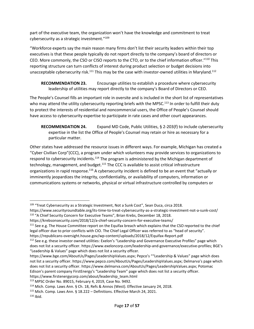cybersecurity as a strategic investment."<sup>109</sup> part of the executive team, the organization won't have the knowledge and commitment to treat

 "Workforce experts say the main reason many firms don't list their security leaders within their top CEO. More commonly, the CSO or CISO reports to the CTO, or to the chief information officer."<sup>110</sup> This unacceptable cybersecurity risk.<sup>111</sup> This may be the case with investor-owned utilities in Maryland.<sup>112</sup> executives is that these people typically do not report directly to the company's board of directors or reporting structure can turn conflicts of interest during product selection or budget decisions into

**RECOMMENDATION 23.** Encourage utilities to establish a procedure where cybersecurity leadership of utilities may report directly to the company's Board of Directors or CEO.

who may attend the utility cybersecurity reporting briefs with the MPSC.<sup>113</sup> In order to fulfill their duty to protect the interests of residential and noncommercial users, the Office of People's Counsel should The People's Counsel fills an important role in oversite and is included in the short list of representatives have access to cybersecurity expertise to participate in rate cases and other court appearances.

 expertise in the list the Office of People's Counsel may retain or hire as necessary for a **RECOMMENDATION 24.** Expand MD Code, Public Utilities, § 2-203(f) to include cybersecurity particular matter.

technology, management, and budget.<sup>115</sup> The CCC is available to assist critical infrastructure Other states have addressed the resource issues in different ways. For example, Michigan has created a "Cyber Civilian Corp"(CCC), a program under which volunteers may provide services to organizations to respond to cybersecurity incidents.<sup>114</sup> The program is administered by the Michigan department of organizations in rapid response.<sup>116</sup> A cybersecurity incident is defined to be an event that "actually or imminently jeopardizes the integrity, confidentiality, or availability of computers, information or communications systems or networks, physical or virtual infrastructure controlled by computers or

<sup>&</sup>lt;sup>109</sup> "Treat Cybersecurity as a Strategic Investment, Not a Sunk Cost", Sean Duca, circa 2018.

https://www.securityroundtable.org/its-time-to-treat-cybersecurity-as-a-strategic-investment-not-a-sunk-cost/<br><sup>110</sup> "A Chief Security Concern for Executive Teams", Brian Krebs, December 18, 2018.

https://krebsonsecurity.com/2018/12/a-chief-security-concern-for-executive-teams/<br><sup>111</sup> See e.g. The House Committee report on the Equifax breach which explains that the CSO reported to the chief legal officer due to prior conflicts with CIO. The Chief Legal Officer was referred to as "head of security".

<https://republicans-oversight.house.gov/wp-content/uploads/2018/12/Equifax-Report.pdf>

<sup>&</sup>lt;sup>112</sup> See e.g. these investor owned utilities: Exelon's "Leadership and Governance Executive Profiles" page which does not list a security officer.<https://www.exeloncorp.com/leadership-and-governance/executive-profiles>; BGE's "Leadership & Values" page which does not list a security officer.

<https://www.bge.com/AboutUs/Pages/LeadershipValues.aspx>; Pepco's ""Leadership & Values" page which does not list a security officer. <https://www.pepco.com/AboutUs/Pages/LeadershipValues.aspx>; Delmarva's page which does not list a security officer.<https://www.delmarva.com/AboutUs/Pages/LeadershipValues.aspx>; Potomac Edison's parent company FirstEnergy's "Leadership Team" page which does not list a security officer.

[https://www.firstenergycorp.com/about/leadership\\_team.html](https://www.firstenergycorp.com/about/leadership_team.html)

<sup>&</sup>lt;sup>113</sup> MPSC Order No. 89015, February 4, 2019, Case No. 9492.<br><sup>114</sup> Mich. Comp. Laws Ann. § Ch. 18, Refs & Annos (West). Effective January 24, 2018.<br><sup>115</sup> Mich. Comp. Laws Ann. § 18.222 – Definitions. Effective March 24, 2

 $116$  Ibid.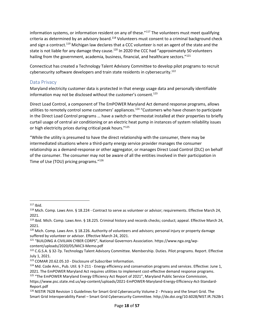information systems, or information resident on any of these."<sup>117</sup> The volunteers must meet qualifying state is not liable for any damage they cause.<sup>120</sup> In 2020 the CCC had "approximately 50 volunteers criteria as determined by an advisory board.<sup>118</sup> Volunteers must consent to a criminal background check and sign a contract.<sup>119</sup> Michigan law declares that a CCC volunteer is not an agent of the state and the hailing from the government, academia, business, financial, and healthcare sectors."<sup>121</sup>

Connecticut has created a Technology Talent Advisory Committee to develop pilot programs to recruit cybersecurity software developers and train state residents in cybersecurity.<sup>122</sup>

## Data Privacy

information may not be disclosed without the customer's consent.<sup>123</sup> Maryland electricity customer data is protected in that energy usage data and personally identifiable

Direct Load Control, a component of The EmPOWER Maryland Act demand response programs, allows utilities to remotely control some customers' appliances. <sup>124</sup> "Customers who have chosen to participate in the Direct Load Control programs … have a switch or thermostat installed at their properties to briefly curtail usage of central air conditioning or an electric heat pump in instances of system reliability issues or high electricity prices during critical peak hours."<sup>125</sup>

 intermediated situations where a third-party energy service provider manages the consumer relationship as a demand-response or other aggregator, or manages Direct Load Control (DLC) on behalf Time of Use (TOU) pricing programs."<sup>126</sup> "While the utility is presumed to have the direct relationship with the consumer, there may be of the consumer. The consumer may not be aware of all the entities involved in their participation in

 $117$  Ibid.

<sup>&</sup>lt;sup>118</sup> Mich. Comp. Laws Ann. § 18.224 - Contract to serve as volunteer or advisor; requirements. Effective March 24, 2021.

<sup>&</sup>lt;sup>119</sup> Ibid. Mich. Comp. Laws Ann. § 18.225. Criminal history and records checks; conduct; appeal. Effective March 24, 2021.

<sup>120</sup> Mich. Comp. Laws Ann. § 18.226. Authority of volunteers and advisors; personal injury or property damage suffered by volunteer or advisor. Effective March 24, 2021.

<sup>121</sup> "BUILDING A CIVILIAN CYBER CORPS", National Governors Association. [https://www.nga.org/wp](https://www.nga.org/wp-content/uploads/2020/05/MiC3-Memo.pdf)[content/uploads/2020/05/MiC3-Memo.pdf](https://www.nga.org/wp-content/uploads/2020/05/MiC3-Memo.pdf) 

<sup>122</sup> C.G.S.A. § 32-7p. Technology Talent Advisory Committee. Membership. Duties. Pilot programs. Report. Effective July 1, 2021.

<sup>&</sup>lt;sup>123</sup> COMAR 20.62.05.10 - Disclosure of Subscriber Information.<br><sup>124</sup> Md. Code Ann., Pub. Util. § 7-211 - Energy efficiency and conservation programs and services. Effective: June 1, 2021. The EmPOWER Maryland Act requires utilities to implement cost-effective demand response programs.<br><sup>125</sup> "The EmPOWER Maryland Energy Efficiency Act Report of 2021", Maryland Public Service Commission,

[https://www.psc.state.md.us/wp-content/uploads/2021-EmPOWER-Maryland-Energy-Efficiency-Act-Standard-](https://www.psc.state.md.us/wp-content/uploads/2021-EmPOWER-Maryland-Energy-Efficiency-Act-Standard-Report.pdf)Report.pdf

<sup>&</sup>lt;sup>126</sup> NISTIR 7628 Revision 1 Guidelines for Smart Grid Cybersecurity Volume 2 - Privacy and the Smart Grid. The Smart Grid Interoperability Panel – Smart Grid Cybersecurity Committee. <http://dx.doi.org/10.6028/NIST.IR.7628r1>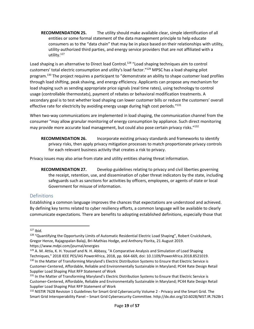entities or some formal statement of the data management principle to help educate utility-authorized third parties, and energy service providers that are not affiliated with a **RECOMMENDATION 25.** The utility should make available clear, simple identification of all consumers as to the "data chain" that may be in place based on their relationships with utility, utility.127

customers' total electric consumption and utility's load factor."<sup>129</sup> MPSC has a load shaping pilot effective rate for electricity by avoiding energy usage during high cost periods."<sup>131</sup> Load shaping is an alternative to Direct load Control.<sup>128</sup> "Load shaping techniques aim to control program.130 The project requires a participant to "demonstrate an ability to shape customer load profiles through load shifting, peak shaving, and energy efficiency. Applicants can propose any mechanism for load shaping such as sending appropriate price signals (real time rates), using technology to control usage (controllable thermostats), payment of rebates or behavioral modification treatments. A secondary goal is to test whether load shaping can lower customer bills or reduce the customers' overall

 When two-way communications are implemented in load shaping, the communication channel from the consumer "may allow granular monitoring of energy consumption by appliance. Such direct monitoring may provide more accurate load management, but could also pose certain privacy risks."<sup>132</sup>

 privacy risks, then apply privacy mitigation processes to match proportionate privacy controls **RECOMMENDATION 26.** Incorporate existing privacy standards and frameworks to identify for each relevant business activity that creates a risk to privacy.

Privacy issues may also arise from state and utility entities sharing threat information.

 Government for misuse of information. **RECOMMENDATION 27.** Develop guidelines relating to privacy and civil liberties governing the receipt, retention, use, and dissemination of cyber threat indicators by the state, including safeguards such as sanctions for activities by officers, employees, or agents of state or local

#### **Definitions**

Establishing a common language improves the chances that expectations are understood and achieved. By defining key terms related to cyber resiliency efforts, a common language will be available to clearly communicate expectations. There are benefits to adopting established definitions, especially those that

 $127$  Ibid.

<sup>128 &</sup>quot;Quantifying the Opportunity Limits of Automatic Residential Electric Load Shaping", Robert Cruickshank, Gregor Henze, Rajagopalan Balaji, Bri-Mathias Hodge, and Anthony Florita, 21 August 2019. <https://www.mdpi.com/journal/energies>

<sup>&</sup>lt;sup>129</sup> A. M. Attia, K. H. Youssef and N. H. Abbasy, "A Comparative Analysis and Simulation of Load Shaping Techniques," 2018 IEEE PES/IAS PowerAfrica, 2018, pp. 664-669, doi: 10.1109/PowerAfrica.2018.8521019. 130 In the Matter of Transforming Maryland's Electric Distribution Systems to Ensure that Electric Service is Customer-Centered, Affordable, Reliable and Environmentally Sustainable in Maryland; PC44 Rate Design Retail Supplier Load Shaping Pilot RFP Statement of Work

 Supplier Load Shaping Pilot RFP Statement of Work 131 In the Matter of Transforming Maryland's Electric Distribution Systems to Ensure that Electric Service is Customer-Centered, Affordable, Reliable and Environmentally Sustainable in Maryland; PC44 Rate Design Retail

<sup>&</sup>lt;sup>132</sup> NISTIR 7628 Revision 1 Guidelines for Smart Grid Cybersecurity Volume 2 - Privacy and the Smart Grid. The Smart Grid Interoperability Panel – Smart Grid Cybersecurity Committee. <http://dx.doi.org/10.6028/NIST.IR.7628r1>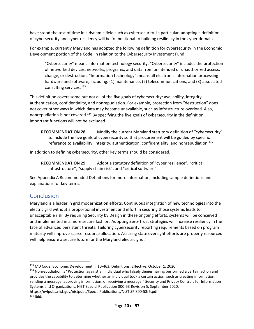have stood the test of time in a dynamic field such as cybersecurity. In particular, adopting a definition of cybersecurity and cyber resiliency will be foundational to building resiliency in the cyber domain.

 For example, currently Maryland has adopted the following definition for cybersecurity in the Economic Development portion of the Code, in relation to the Cybersecurity Investment Fund:

 "Cybersecurity" means information technology security. "Cybersecurity" includes the protection of networked devices, networks, programs, and data from unintended or unauthorized access, change, or destruction. "Information technology" means all electronic information processing hardware and software, including: (1) maintenance; (2) telecommunications; and (3) associated consulting services. 133

 This definition covers some but not all of the five goals of cybersecurity: availability, integrity, nonrepudiation is not covered.<sup>134</sup> By specifying the five goals of cybersecurity in the definition, authentication, confidentiality, and nonrepudiation. For example, protection from "destruction" does not cover other ways in which data may become unavailable, such as infrastructure overload. Also, important functions will not be excluded.

 **RECOMMENDATION 28.** Modify the current Maryland statutory definition of "cybersecurity" to include the five goals of cybersecurity so that procurement will be guided by specific reference to availability, integrity, authentication, confidentiality, and nonrepudiation.<sup>135</sup>

In addition to defining cybersecurity, other key terms should be considered.

**RECOMMENDATION 29.** Adopt a statutory definition of "cyber resilience", "critical infrastructure", "supply chain risk", and "critical software".

See Appendix A Recommended Definitions for more information, including sample definitions and explanations for key terms.

# Conclusion

 Maryland is a leader in grid modernization efforts. Continuous integration of new technologies into the electric grid without a proportional investment and effort in securing those systems leads to unacceptable risk. By requiring Security by Design in these ongoing efforts, systems will be conceived and implemented in a more secure fashion. Adopting Zero-Trust strategies will increase resiliency in the face of advanced persistent threats. Tailoring cybersecurity reporting requirements based on program maturity will improve scarce resource allocation. Assuring state oversight efforts are properly resourced will help ensure a secure future for the Maryland electric grid.

<sup>&</sup>lt;sup>133</sup> MD Code, Economic Development, § 10-463. Definitions. Effective: October 1, 2020.<br><sup>134</sup> Nonrepudiation is "Protection against an individual who falsely denies having performed a certain action and provides the capability to determine whether an individual took a certain action, such as creating information, sending a message, approving information, or receiving a message." Security and Privacy Controls for Information Systems and Organizations, NIST Special Publication 800-53 Revision 5, September 2020. [https://nvlpubs.nist.gov/nistpubs/SpecialPublications/NIST.SP.800-53r5.pdf.](https://nvlpubs.nist.gov/nistpubs/SpecialPublications/NIST.SP.800-53r5.pdf)

 $135$  Ibid.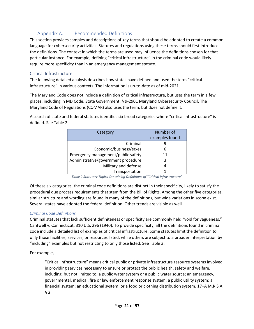# Appendix A. Recommended Definitions

 This section provides samples and descriptions of key terms that should be adopted to create a common language for cybersecurity activities. Statutes and regulations using these terms should first introduce the definitions. The context in which the terms are used may influence the definitions chosen for that particular instance. For example, defining "critical infrastructure" in the criminal code would likely require more specificity than in an emergency management statute.

#### Critical Infrastructure

The following detailed analysis describes how states have defined and used the term "critical infrastructure" in various contexts. The information is up-to-date as of mid-2021.

 places, including in MD Code, State Government, § 9-2901 Maryland Cybersecurity Council. The The Maryland Code does not include a definition of critical infrastructure, but uses the term in a few Maryland Code of Regulations (COMAR) also uses the term, but does not define it.

A search of state and federal statutes identifies six broad categories where "critical infrastructure" is defined. See Table 2.

| Category                            | Number of<br>examples found |
|-------------------------------------|-----------------------------|
| Criminal                            |                             |
| Economic/business/taxes             | 6                           |
| Emergency management/public safety  | 11                          |
| Administrative/government procedure | 3                           |
| Military and defense                |                             |
| Transportation                      |                             |

 *Table 2 Statutory Topics Containing Definitions of "Critical Infrastructure"* 

Of these six categories, the criminal code definitions are distinct in their specificity, likely to satisfy the procedural due process requirements that stem from the Bill of Rights. Among the other five categories, similar structure and wording are found in many of the definitions, but wide variations in scope exist. Several states have adopted the federal definition. Other trends are visible as well.

#### *Criminal Code Definitions*

 "including" examples but not restricting to only those listed. See Table 3. Criminal statutes that lack sufficient definiteness or specificity are commonly held "void for vagueness." Cantwell v. Connecticut, 310 U.S. 296 (1940). To provide specificity, all the definitions found in criminal code include a detailed list of examples of critical infrastructure. Some statutes limit the definition to only those facilities, services, or resources listed, while others are subject to a broader interpretation by

For example,

"Critical infrastructure" means critical public or private infrastructure resource systems involved in providing services necessary to ensure or protect the public health, safety and welfare, including, but not limited to, a public water system or a public water source; an emergency, governmental, medical, fire or law enforcement response system; a public utility system; a financial system; an educational system; or a food or clothing distribution system. 17–A M.R.S.A. § 2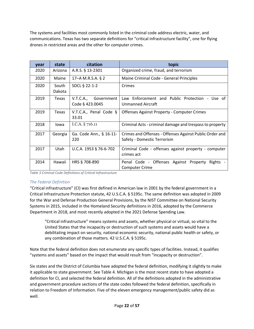drones in restricted areas and the other for computer crimes. The systems and facilities most commonly listed in the criminal code address electric, water, and communications. Texas has two separate definitions for "critical infrastructure facility", one for flying

| year | state           | citation                                   | topic                                                                                  |
|------|-----------------|--------------------------------------------|----------------------------------------------------------------------------------------|
| 2020 | Arizona         | A.R.S. § 13-2301                           | Organized crime, fraud, and terrorism                                                  |
| 2020 | Maine           | 17–A M.R.S.A. § 2                          | Maine Criminal Code - General Principles                                               |
| 2020 | South<br>Dakota | SDCL § 22-1-2                              | Crimes                                                                                 |
| 2019 | Texas           | V.T.C.A.,<br>Government<br>Code § 423.0045 | Enforcement and Public Protection - Use of<br>Law<br>Unmanned Aircraft                 |
| 2019 | Texas           | V.T.C.A., Penal Code §<br>33.01            | Offenses Against Property - Computer Crimes                                            |
| 2018 | Iowa            | I.C.A. § 716.11                            | Criminal Acts - criminal damage and trespass to property                               |
| 2017 | Georgia         | Ga. Code Ann., § 16-11-<br>220             | Crimes and Offenses - Offenses Against Public Order and<br>Safety - Domestic Terrorism |
| 2017 | Utah            | U.C.A. 1953 § 76-6-702                     | Criminal Code - offenses against property - computer<br>crimes act                     |
| 2014 | Hawaii          | HRS § 708-890                              | Penal Code - Offenses Against Property<br>Rights<br><b>Computer Crime</b>              |

*Table 3 Criminal Code Definitions of Critical Infrastructure* 

#### *The Federal Definition*

 Critical Infrastructure Protection statute, 42 U.S.C.A. § 5195c. The same definition was adopted in 2009 Department in 2018, and most recently adopted in the 2021 Defense Spending Law. "Critical infrastructure" (CI) was first defined in American law in 2001 by the federal government in a for the War and Defense Production General Provisions, by the NIST Committee on National Security Systems in 2015, included in the Homeland Security definitions in 2016, adopted by the Commerce

 any combination of those matters. 42 U.S.C.A. § 5195c. "Critical infrastructure" means systems and assets, whether physical or virtual, so vital to the United States that the incapacity or destruction of such systems and assets would have a debilitating impact on security, national economic security, national public health or safety, or

 "systems and assets" based on the impact that would result from "incapacity or destruction". Note that the federal definition does not enumerate any specific types of facilities. Instead, it qualifies

 relation to Freedom of Information. Five of the eleven emergency management/public safety did as Six states and the District of Columbia have adopted the federal definition, modifying it slightly to make it applicable to state government. See Table 4. Michigan is the most recent state to have adopted a definition for CI, and selected the federal definition. All of the definitions adopted in the administrative and government procedure sections of the state codes followed the federal definition, specifically in well.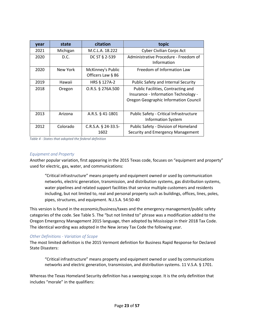| year | state    | citation                               | topic                                                                                                               |
|------|----------|----------------------------------------|---------------------------------------------------------------------------------------------------------------------|
| 2021 | Michigan | M.C.L.A. 18.222                        | <b>Cyber Civilian Corps Act</b>                                                                                     |
| 2020 | D.C.     | DC ST § 2-539                          | Administrative Procedure - Freedom of<br>Information                                                                |
| 2020 | New York | McKinney's Public<br>Officers Law § 86 | Freedom of Information Law                                                                                          |
| 2019 | Hawaii   | HRS § 127A-2                           | Public Safety and Internal Security                                                                                 |
| 2018 | Oregon   | O.R.S. § 276A.500                      | Public Facilities, Contracting and<br>Insurance - Information Technology -<br>Oregon Geographic Information Council |
| 2013 | Arizona  | A.R.S. § 41-1801                       | Public Safety - Critical Infrastructure<br><b>Information System</b>                                                |
| 2012 | Colorado | $C.R.S.A.$ § 24-33.5-<br>1602          | Public Safety - Division of Homeland<br>Security and Emergency Management                                           |

 *Table 4 - States that adopted the federal definition* 

#### *Equipment and Property*

Another popular variation, first appearing in the 2015 Texas code, focuses on "equipment and property" used for electric, gas, water, and communications:

"Critical infrastructure" means property and equipment owned or used by communication networks, electric generation, transmission, and distribution systems, gas distribution systems, water pipelines and related support facilities that service multiple customers and residents including, but not limited to, real and personal property such as buildings, offices, lines, poles, pipes, structures, and equipment. N.J.S.A. 54:50-40

 Oregon Emergency Management 2015 language, then adopted by Mississippi in their 2018 Tax Code. This version is found in the economic/business/taxes and the emergency management/public safety categories of the code. See Table 5. The "but not limited to" phrase was a modification added to the The identical wording was adopted in the New Jersey Tax Code the following year.

#### *Other Definitions - Variation of Scope*

The most limited definition is the 2015 Vermont definition for Business Rapid Response for Declared State Disasters:

"Critical infrastructure" means property and equipment owned or used by communications networks and electric generation, transmission, and distribution systems. 11 V.S.A. § 1701.

Whereas the Texas Homeland Security definition has a sweeping scope. It is the only definition that includes "morale" in the qualifiers: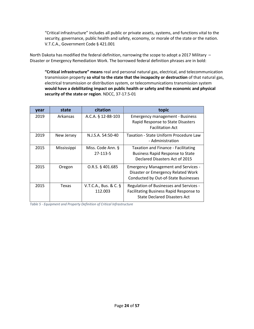"Critical infrastructure" includes all public or private assets, systems, and functions vital to the security, governance, public health and safety, economy, or morale of the state or the nation. V.T.C.A., Government Code § 421.001

 North Dakota has modified the federal definition, narrowing the scope to adopt a 2017 Military – Disaster or Emergency Remediation Work. The borrowed federal definition phrases are in bold:

**"Critical infrastructure" means** real and personal natural gas, electrical, and telecommunication transmission property **so vital to the state that the incapacity or destruction** of that natural gas, electrical transmission or distribution system, or telecommunications transmission system **would have a debilitating impact on public health or safety and the economic and physical security of the state or region**. NDCC, 37-17.5-01

| year | state       | citation                         | topic                                                                                                                     |
|------|-------------|----------------------------------|---------------------------------------------------------------------------------------------------------------------------|
| 2019 | Arkansas    | A.C.A. § 12-88-103               | <b>Emergency management - Business</b><br>Rapid Response to State Disasters<br><b>Facilitation Act</b>                    |
| 2019 | New Jersey  | N.J.S.A. 54:50-40                | Taxation - State Uniform Procedure Law<br>- Administration                                                                |
| 2015 | Mississippi | Miss. Code Ann. §<br>27-113-5    | <b>Taxation and Finance - Facilitating</b><br><b>Business Rapid Response to State</b><br>Declared Disasters Act of 2015   |
| 2015 | Oregon      | O.R.S. § 401.685                 | <b>Emergency Management and Services -</b><br>Disaster or Emergency Related Work<br>Conducted by Out-of-State Businesses  |
| 2015 | Texas       | V.T.C.A., Bus. & C. §<br>112.003 | Regulation of Businesses and Services -<br>Facilitating Business Rapid Response to<br><b>State Declared Disasters Act</b> |

 *Table 5 - Equipment and Property Definition of Critical Infrastructure*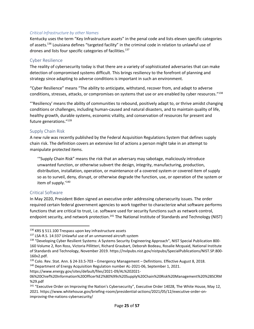#### *Critical Infrastructure by other Names*

Kentucky uses the term "Key Infrastructure assets" in the penal code and lists eleven specific categories of assets.136 Louisiana defines "targeted facility" in the criminal code in relation to unlawful use of drones and lists four specific categories of facilities.<sup>137</sup>

#### Cyber Resilience

The reality of cybersecurity today is that there are a variety of sophisticated adversaries that can make detection of compromised systems difficult. This brings resiliency to the forefront of planning and strategy since adapting to adverse conditions is important in such an environment.

"Cyber Resilience" means "The ability to anticipate, withstand, recover from, and adapt to adverse conditions, stresses, attacks, or compromises on systems that use or are enabled by cyber resources."<sup>138</sup>

"'Resiliency' means the ability of communities to rebound, positively adapt to, or thrive amidst changing conditions or challenges, including human-caused and natural disasters, and to maintain quality of life, healthy growth, durable systems, economic vitality, and conservation of resources for present and future generations."<sup>139</sup>

#### Supply Chain Risk

A new rule was recently published by the Federal Acquisition Regulations System that defines supply chain risk. The definition covers an extensive list of actions a person might take in an attempt to manipulate protected items.

 '"Supply Chain Risk" means the risk that an adversary may sabotage, maliciously introduce distribution, installation, operation, or maintenance of a covered system or covered item of supply unwanted function, or otherwise subvert the design, integrity, manufacturing, production, so as to surveil, deny, disrupt, or otherwise degrade the function, use, or operation of the system or item of supply.'140

#### Critical Software

endpoint security, and network protection.<sup>141</sup> The National Institute of Standards and Technology (NIST) In May 2020, President Biden signed an executive order addressing cybersecurity issues. The order required certain federal government agencies to work together to characterize what software performs functions that are critical to trust, i.e. software used for security functions such as network control,

https://www.energy.gov/sites/default/files/2021-09/AL%202021-

<sup>136</sup> KRS § 511.100 Trespass upon key infrastructure assets

<sup>&</sup>lt;sup>137</sup> LSA-R.S. 14:337 Unlawful use of an unmanned aircraft system<br><sup>138</sup> "Developing Cyber Resilient Systems: A Systems Security Engineering Approach", NIST Special Publication 800-160 Volume 2, Ron Ross, Victoria Pillitteri, Richard Graubart, Deborah Bodeau, Rosalie Mcquaid, National Institute of Standards and Technology, November 2019. [https://nvlpubs.nist.gov/nistpubs/SpecialPublications/NIST.SP.800-](https://nvlpubs.nist.gov/nistpubs/SpecialPublications/NIST.SP.800-160v2.pdf) [160v2.pdf.](https://nvlpubs.nist.gov/nistpubs/SpecialPublications/NIST.SP.800-160v2.pdf)

<sup>&</sup>lt;sup>139</sup> Colo. Rev. Stat. Ann. § 24-33.5-703 – Emergency Management – Definitions. Effective August 8, 2018.<br><sup>140</sup> Department of Energy Acquisition Regulation number AL-2021-06, September 1, 2021.

[<sup>06%20</sup>Chief%20Information%20Officer%E2%80%99s%20Supply%20Chain%20Risk%20Management%20%28SCRM](https://www.energy.gov/sites/default/files/2021-09/AL%202021-06%20Chief%20Information%20Officer%E2%80%99s%20Supply%20Chain%20Risk%20Management%20%28SCRM%20%29.pdf)  %29.pdf

<sup>&</sup>lt;sup>141</sup> "Executive Order on Improving the Nation's Cybersecurity", Executive Order 14028, The White House, May 12, 2021. [https://www.whitehouse.gov/briefing-room/presidential-actions/2021/05/12/executive-order-on](https://www.whitehouse.gov/briefing-room/presidential-actions/2021/05/12/executive-order-on-improving-the-nations-cybersecurity/)[improving-the-nations-cybersecurity/](https://www.whitehouse.gov/briefing-room/presidential-actions/2021/05/12/executive-order-on-improving-the-nations-cybersecurity/)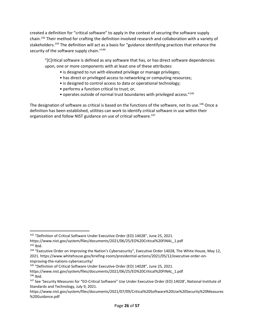security of the software supply chain."<sup>144</sup> created a definition for "critical software" to apply in the context of securing the software supply chain.142 Their method for crafting the definition involved research and collaboration with a variety of stakeholders.<sup>143</sup> The definition will act as a basis for "guidance identifying practices that enhance the

"[C]ritical software is defined as any software that has, or has direct software dependencies upon, one or more components with at least one of these attributes:

- is designed to run with elevated privilege or manage privileges;
- has direct or privileged access to networking or computing resources;
- is designed to control access to data or operational technology;
- performs a function critical to trust; or,
- operates outside of normal trust boundaries with privileged access."<sup>145</sup>

The designation of software as critical is based on the functions of the software, not its use.<sup>146</sup> Once a definition has been established, utilities can work to identify critical software in use within their organization and follow NIST guidance on use of critical software.<sup>147</sup>

<sup>&</sup>lt;sup>142</sup> "Definition of Critical Software Under Executive Order (EO) 14028", June 25, 2021.

 $143$  Ibid. [https://www.nist.gov/system/files/documents/2021/06/25/EO%20Critical%20FINAL\\_1.pdf](https://www.nist.gov/system/files/documents/2021/06/25/EO%20Critical%20FINAL_1.pdf)

<sup>&</sup>lt;sup>144</sup> "Executive Order on Improving the Nation's Cybersecurity", Executive Order 14028, The White House, May 12, 2021. [https://www.whitehouse.gov/briefing-room/presidential-actions/2021/05/12/executive-order-on](https://www.whitehouse.gov/briefing-room/presidential-actions/2021/05/12/executive-order-on-improving-the-nations-cybersecurity/)[improving-the-nations-cybersecurity/](https://www.whitehouse.gov/briefing-room/presidential-actions/2021/05/12/executive-order-on-improving-the-nations-cybersecurity/) 

<sup>&</sup>lt;sup>145</sup> "Definition of Critical Software Under Executive Order (EO) 14028", June 25, 2021.

 $146$  Ibid. [https://www.nist.gov/system/files/documents/2021/06/25/EO%20Critical%20FINAL\\_1.pdf](https://www.nist.gov/system/files/documents/2021/06/25/EO%20Critical%20FINAL_1.pdf)

<sup>&</sup>lt;sup>147</sup> See 'Security Measures for "EO-Critical Software" Use Under Executive Order (EO) 14028', National Institute of Standards and Technology, July 9, 2021.

[https://www.nist.gov/system/files/documents/2021/07/09/Critical%20Software%20Use%20Security%20Measures](https://www.nist.gov/system/files/documents/2021/07/09/Critical%20Software%20Use%20Security%20Measures%20Guidance.pdf)  %20Guidance.pdf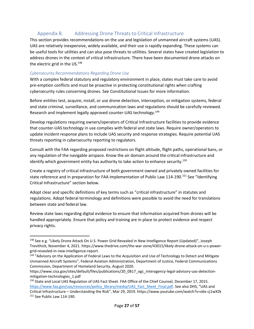# Appendix B. Addressing Drone Threats to Critical Infrastructure

This section provides recommendations on the use and legislation of unmanned aircraft systems (UAS). UAS are relatively inexpensive, widely available, and their use is rapidly expanding. These systems can be useful tools for utilities and can also pose threats to utilities. Several states have created legislation to address drones in the context of critical infrastructure. There have been documented drone attacks on the electric grid in the US.<sup>148</sup>

#### *Cybersecurity Recommendations Regarding Drone Use*

With a complex federal statutory and regulatory environment in place, states must take care to avoid pre-emption conflicts and must be proactive in protecting constitutional rights when crafting cybersecurity rules concerning drones. See Constitutional Issues for more information.

Research and implement legally approved counter-UAS technology.<sup>149</sup> Before entities test, acquire, install, or use drone detection, interception, or mitigation systems, federal and state criminal, surveillance, and communication laws and regulations should be carefully reviewed.

Develop regulations requiring owners/operators of Critical Infrastructure facilities to provide evidence that counter-UAS technology in use complies with federal and state laws. Require owner/operators to update incident response plans to include UAS security and response strategies. Require potential UAS threats reporting in cybersecurity reporting to regulators.

Consult with the FAA regarding proposed restrictions on flight altitude, flight paths, operational bans, or any regulation of the navigable airspace. Know the air domain around the critical infrastructure and identify which government entity has authority to take action to enhance security.<sup>150</sup>

Create a registry of critical infrastructure of both government owned and privately owned facilities for state reference and in preparation for FAA implementation of Public Law 114-190.<sup>151</sup> See "Identifying Critical Infrastructure" section below.

Adopt clear and specific definitions of key terms such as "critical infrastructure" in statutes and regulations. Adopt federal terminology and definitions were possible to avoid the need for translations between state and federal law.

Review state laws regarding digital evidence to ensure that information acquired from drones will be handled appropriately. Ensure that policy and training are in place to protect evidence and respect privacy rights.

<sup>148</sup> See e.g. "Likely Drone Attack On U.S. Power Grid Revealed In New Intelligence Report (Updated)", Joseph Trevithick, November 4, 2021. [https://www.thedrive.com/the-war-zone/43015/likely-drone-attack-on-u-s-power](https://www.thedrive.com/the-war-zone/43015/likely-drone-attack-on-u-s-power-grid-revealed-in-new-intelligence-report)[grid-revealed-in-new-intelligence-report.](https://www.thedrive.com/the-war-zone/43015/likely-drone-attack-on-u-s-power-grid-revealed-in-new-intelligence-report)<br><sup>149</sup> "Advisory on the Application of Federal Laws to the Acquisition and Use of Technology to Detect and Mitigate

Unmanned Aircraft Systems", Federal Aviation Administration, Department of Justice, Federal Communications Commission, Department of Homeland Security, August 2020.

[https://www.cisa.gov/sites/default/files/publications/20\\_0817\\_ogc\\_interagency-legal-advisory-uas-detection](https://www.cisa.gov/sites/default/files/publications/20_0817_ogc_interagency-legal-advisory-uas-detection-mitigation-technologies_1.pdf)mitigation-technologies\_1.pdf

 Critical Infrastructure – Understanding the Risk", Mar 29, 2019. <https://www.youtube.com/watch?v=o6x-cj1wXZk>151 See Public Law 114-190. Page **27** of **57** <sup>151</sup> See Public Law 114-190. <sup>150</sup> State and Local UAS Regulation of UAS Fact Sheet. FAA Office of the Chief Counsel, December 17, 2015. [https://www.faa.gov/uas/resources/policy\\_library/media/UAS\\_Fact\\_Sheet\\_Final.pdf](https://www.faa.gov/uas/resources/policy_library/media/UAS_Fact_Sheet_Final.pdf). See also DHS, "UAS and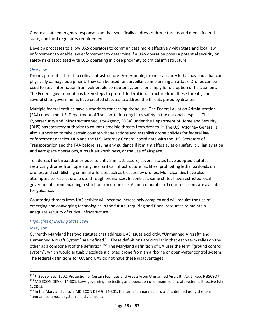Create a state emergency response plan that specifically addresses drone threats and meets federal, state, and local regulatory requirements.

Develop processes to allow UAS operators to communicate more effectively with State and local law enforcement to enable law enforcement to determine if a UAS operation poses a potential security or safety risks associated with UAS operating in close proximity to critical infrastructure.

#### *Overview*

 several state governments have created statutes to address the threats posed by drones. Drones present a threat to critical infrastructure. For example, drones can carry lethal payloads that can physically damage equipment. They can be used for surveillance in planning an attack. Drones can be used to steal information from vulnerable computer systems, or simply for disruption or harassment. The Federal government has taken steps to protect federal infrastructure from these threats, and

Multiple federal entities have authorities concerning drone use. The Federal Aviation Administration (FAA) under the U.S. Department of Transportation regulates safety in the national airspace. The Cybersecurity and Infrastructure Security Agency (CISA) under the Department of Homeland Security (DHS) has statutory authority to counter credible threats from drones.152 The U.S. Attorney General is also authorized to take certain counter-drone actions and establish drone policies for federal law enforcement entities. DHS and the U.S. Attorney General coordinate with the U.S. Secretary of Transportation and the FAA before issuing any guidance if it might affect aviation safety, civilian aviation and aerospace operations, aircraft airworthiness, or the use of airspace.

To address the threat drones pose to critical infrastructure, several states have adopted statutes restricting drones from operating near critical infrastructure facilities, prohibiting lethal payloads on drones, and establishing criminal offenses such as trespass by drones. Municipalities have also attempted to restrict drone use through ordinances. In contrast, some states have restricted local governments from enacting restrictions on drone use. A limited number of court decisions are available for guidance.

 emerging and converging technologies in the future, requiring additional resources to maintain Countering threats from UAS activity will become increasingly complex and will require the use of adequate security of critical infrastructure.

#### *Highlights of Existing State Laws*

#### Maryland

other as a component of the definition.<sup>154</sup> The Maryland definition of UA uses the term "ground control Currently Maryland has two statutes that address UAS issues explicitly. "Unmanned Aircraft" and Unmanned Aircraft System" are defined.<sup>153</sup> These definitions are circular in that each term relies on the system", which would arguably exclude a piloted drone from an airborne or open-water control system. The federal definitions for UA and UAS do not have these disadvantages.

<sup>152 ¶ 35680,</sup> Sec. 1602. Protection of Certain Facilities and Assets From Unmanned Aircraft., Av. L. Rep. P 35680 t.

<sup>&</sup>lt;sup>153</sup> MD ECON DEV § 14-301. Laws governing the testing and operation of unmanned aircraft systems. Effective July 1, 2015.

<sup>&</sup>lt;sup>154</sup> In the Maryland statute MD ECON DEV § 14-301, the term "unmanned aircraft" is defined using the term "unmanned aircraft system", and vice versa.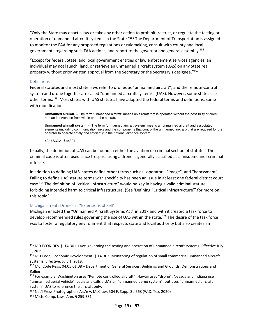"Only the State may enact a law or take any other action to prohibit, restrict, or regulate the testing or operation of unmanned aircraft systems in the State."<sup>155</sup> The Department of Transportation is assigned to monitor the FAA for any proposed regulations or rulemaking, consult with county and local governments regarding such FAA actions, and report to the governor and general assembly.<sup>156</sup>

"Except for federal, State, and local government entities or law enforcement services agencies, an individual may not launch, land, or retrieve an unmanned aircraft system (UAS) on any State real property without prior written approval from the Secretary or the Secretary's designee."<sup>157</sup>

#### Definitions

other terms.<sup>158</sup> Most states with UAS statutes have adopted the federal terms and definitions, some Federal statutes and most state laws refer to drones as "unmanned aircraft", and the remote-control system and drone together are called "unmanned aircraft systems" (UAS). However, some states use with modification.

 **Unmanned aircraft.** -- The term "unmanned aircraft" means an aircraft that is operated without the possibility of direct human intervention from within or on the aircraft.

 **Unmanned aircraft system.** -- The term "unmanned aircraft system" means an unmanned aircraft and associated elements (including communication links and the components that control the unmanned aircraft) that are required for the operator to operate safely and efficiently in the national airspace system.

49 U.S.C.A. § 44801

Usually, the definition of UAS can be found in either the aviation or criminal section of statutes. The criminal code is often used since trespass using a drone is generally classified as a misdemeanor criminal offense.

In addition to defining UAS, states define other terms such as "operator", "image", and "harassment". Failing to define UAS statute terms with specificity has been an issue in at least one federal district court case.159 The definition of "critical infrastructure" would be key in having a valid criminal statute forbidding intended harm to critical infrastructure. (See 'Defining "Critical Infrastructure"' for more on this topic.)

#### Michigan Treats Drones as "Extensions of Self"

Michigan enacted the "Unmanned Aircraft Systems Act" in 2017 and with it created a task force to develop recommended rules governing the use of UAS within the state.<sup>160</sup> The desire of the task force was to foster a regulatory environment that respects state and local authority but also creates an

<sup>155</sup> MD ECON DEV § 14-301. Laws governing the testing and operation of unmanned aircraft systems. Effective July 1, 2015.

<sup>156</sup> MD Code, Economic Development, § 14-302. Monitoring of regulation of small commercial unmanned aircraft systems. Effective: July 1, 2019.

<sup>&</sup>lt;sup>157</sup> Md. Code Regs. 04.05.01.08 – Department of General Services; Buildings and Grounds; Demonstrations and Rallies.

 "unmanned aerial vehicle". Louisiana calls a UAS an "unmanned *aerial* system", but uses "unmanned aircraft <sup>158</sup> For example, Washington uses "Remote controlled aircraft", Hawaii uses "drone", Nevada and Indiana use system" UAS to reference the aircraft only.

<sup>&</sup>lt;sup>159</sup> Nat'l Press Photographers Ass'n v. McCraw, 504 F. Supp. 3d 568 (W.D. Tex. 2020) 160 Mich. Comp. Laws Ann. § 259.331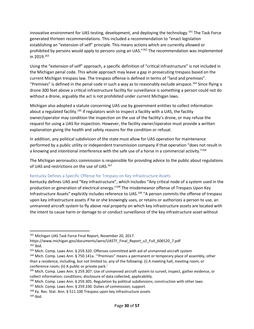generated thirteen recommendations. This included a recommendation to "enact legislation in 2019.163 innovative environment for UAS testing, development, and deploying the technology.<sup>161</sup> The Task Force establishing an "extension of self" principle. This means actions which are currently allowed or prohibited by persons would apply to persons using an UAS."<sup>162</sup> The recommendation was implemented

Using the "extension of self" approach, a specific definition of "critical infrastructure" is not included in the Michigan penal code. This whole approach may leave a gap in prosecuting trespass based on the current Michigan trespass law. The trespass offense is defined in terms of "land and premises". "Premises" is defined in the penal code in such a way as to reasonably exclude airspace.<sup>164</sup> Since flying a drone 300 feet above a critical infrastructure facility for surveillance is something a person could not do without a drone, arguably the act is not prohibited under current Michigan laws.

 request for using a UAS for inspection. However, the facility owner/operator must provide a written explanation giving the health and safety reasons for the condition or refusal. Michigan also adopted a statute concerning UAS use by government entities to collect information about a regulated facility.<sup>165</sup> If regulators wish to inspect a facility with a UAS, the facility owner/operator may condition the inspection on the use of the facility's drone, or may refuse the

 In addition, any political subdivision of the state must allow for UAS operation for maintenance performed by a public utility or independent transmission company if that operation "does not result in a knowing and intentional interference with the safe use of a horse in a commercial activity."<sup>166</sup>

The Michigan aeronautics commission is responsible for providing advice to the public about regulations of UAS and restrictions on the use of UAS.<sup>167</sup>

#### Kentucky Defines a Specific Offense for Trespass on Key Infrastructure Assets

production or generation of electrical energy."<sup>168</sup> The misdemeanor offense of Trespass Upon Key Kentucky defines UAS and "Key infrastructure", which includes "Any critical node of a system used in the Infrastructure Assets" explicitly includes reference to UAS.<sup>169</sup> "A person commits the offense of trespass upon key infrastructure assets if he or she knowingly uses, or retains or authorizes a person to use, an unmanned aircraft system to fly above real property on which key infrastructure assets are located with the intent to cause harm or damage to or conduct surveillance of the key infrastructure asset without

<sup>161</sup> Michigan UAS Task Force Final Report, November 20, 2017.

 $162$  Ibid. [https://www.michigan.gov/documents/aero/UASTF\\_Final\\_Report\\_v2\\_Full\\_606520\\_7.pdf](https://www.michigan.gov/documents/aero/UASTF_Final_Report_v2_Full_606520_7.pdf)

<sup>&</sup>lt;sup>163</sup> Mich. Comp. Laws Ann. § 259.320. Offenses committed with aid of unmanned aircraft system 164 Mich. Comp. Laws Ann. § 750.141a. '"Premises" means a permanent or temporary place of assembly, other

than a residence, including, but not limited to, any of the following: (i) A meeting hall, meeting room, or conference room; (ii) A public or private park.'

<sup>165</sup> Mich. Comp. Laws Ann. § 259.307. Use of unmanned aircraft system to surveil, inspect, gather evidence, or collect information; conditions; disclosure of data collected; applicability.

<sup>&</sup>lt;sup>166</sup> Mich. Comp. Laws Ann. § 259.305. Regulation by political subdivisions; construction with other laws<br><sup>167</sup> Mich. Comp. Laws Ann. § 259.330. Duties of commission; support.<br><sup>168</sup> Ky. Rev. Stat. Ann. § 511.100 Trespass

 $169$  Ibid.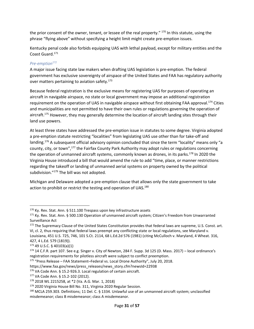the prior consent of the owner, tenant, or lessee of the real property." <sup>170</sup> In this statute, using the phrase "flying above" without specifying a height limit might create pre-emption issues.

Kentucky penal code also forbids equipping UAS with lethal payload, except for military entities and the Coast Guard.171

#### *Pre-emption172*

over matters pertaining to aviation safety. $173$ A major issue facing state law makers when drafting UAS legislation is pre-emption. The federal government has exclusive sovereignty of airspace of the United States and FAA has regulatory authority

requirement on the operation of UAS in navigable airspace without first obtaining FAA approval.<sup>174</sup> Cities Because federal registration is the exclusive means for registering UAS for purposes of operating an aircraft in navigable airspace, no state or local government may impose an additional registration and municipalities are not permitted to have their own rules or regulations governing the operation of aircraft.<sup>175</sup> However, they may generally determine the location of aircraft landing sites through their land use powers.

the operation of unmanned aircraft systems, commonly known as drones, in its parks.<sup>178</sup> In 2020 the At least three states have addressed the pre-emption issue in statutes to some degree. Virginia adopted a pre-emption statute restricting "localities" from legislating UAS use other than for take-off and landing.<sup>176</sup> A subsequent official advisory opinion concluded that since the term "locality" means only "a county, city, or town",<sup>177</sup> the Fairfax County Park Authority may adopt rules or regulations concerning Virginia House introduced a bill that would amend the rule to add "time, place, or manner restrictions regarding the takeoff or landing of unmanned aerial systems on property owned by the political subdivision."<sup>179</sup> The bill was not adopted.

action to prohibit or restrict the testing and operation of UAS.<sup>180</sup> Michigan and Delaware adopted a pre-emption clause that allows only the state government to take

<sup>&</sup>lt;sup>170</sup> Ky. Rev. Stat. Ann. § 511.100 Trespass upon key infrastructure assets<br><sup>171</sup> Ky. Rev. Stat. Ann. § 500.130 Operation of unmanned aircraft system; Citizen's Freedom from Unwarranted Surveillance Act

<sup>172</sup> The Supremacy Clause of the United States Constitution provides that federal laws are supreme, U.S. Const. art. VI, cl. 2, thus requiring that federal laws preempt any conflicting state or local regulations, see Maryland v.

Louisiana, 451 U.S. 725, 746, 101 S.Ct. 2114, 68 L.Ed.2d 576 (1981) (citing McCulloch v. Maryland, 4 Wheat. 316, 427, 4 L.Ed. 579 (1819)).

<sup>&</sup>lt;sup>173</sup> 49 U.S.C. § 40103(a)(1)<br><sup>174</sup> 14 C.F.R. part 107. See e.g. Singer v. City of Newton, 284 F. Supp. 3d 125 (D. Mass. 2017) – local ordinance's registration requirements for pilotless aircraft were subject to conflict preemption.

 <sup>175</sup> "Press Release – FAA Statement–Federal vs. Local Drone Authority", July 20, 2018.

[https://www.faa.gov/news/press\\_releases/news\\_story.cfm?newsId=22938](https://www.faa.gov/news/press_releases/news_story.cfm?newsId=22938)

<sup>&</sup>lt;sup>176</sup> VA Code Ann. § 15.2-926.3. Local regulation of certain aircraft.<br><sup>177</sup> VA Code Ann. § 15.2-102 (2012).<br><sup>178</sup> 2018 WL 2215258, at \*2 (Va. A.G. Mar. 1, 2018)<br><sup>179</sup> 2020 Virginia House Bill No. 311, Virginia 2020 Regula misdemeanor; class B misdemeanor; class A misdemeanor.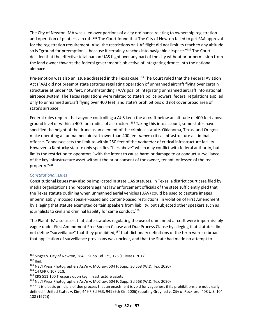The City of Newton, MA was sued over portions of a city ordinance relating to ownership registration and operation of pilotless aircraft.<sup>181</sup> The Court found that The City of Newton failed to get FAA approval for the registration requirement. Also, the restrictions on UAS flight did not limit its reach to any altitude so is "ground for preemption ... because it certainly reaches into navigable airspace." $182$  The Court decided that the effective total ban on UAS flight over any part of the city without prior permission from the land owner thwarts the federal government's objective of integrating drones into the national airspace.

Pre-emption was also an issue addressed in the Texas case.<sup>183</sup> The Court ruled that the Federal Aviation Act (FAA) did not preempt state statutes regulating operation of unmanned aircraft flying over certain structures at under 400 feet, notwithstanding FAA's goal of integrating unmanned aircraft into national airspace system. The Texas regulations were related to state's police powers, federal regulations applied only to unmanned aircraft flying over 400 feet, and state's prohibitions did not cover broad area of state's airspace.

 make operating an unmanned aircraft lower than 400 feet *above* critical infrastructure a criminal However, a Kentucky statute only specifies "flies above" which may conflict with federal authority, but of the key infrastructure asset without the prior consent of the owner, tenant, or lessee of the real Federal rules require that anyone controlling a AUS keep the aircraft below an altitude of 400 feet above ground level or within a 400-foot radius of a structure.<sup>184</sup> Taking this into account, some states have specified the height of the drone as an element of the criminal statute. Oklahoma, Texas, and Oregon offense. Tennessee sets the limit to within 250 feet of the *perimeter* of critical infrastructure facility. limits the restriction to operators "with the intent to cause harm or damage to or conduct surveillance property."<sup>185</sup>

#### *Constitutional Issues*

 by alleging that statute exempted certain speakers from liability, but subjected other speakers such as Constitutional issues may also be implicated in state UAS statutes. In Texas, a district court case filed by media organizations and reporters against law enforcement officials of the state sufficiently pled that the Texas statute outlining when unmanned aerial vehicles (UAV) could be used to capture images impermissibly imposed speaker-based and content-based restrictions, in violation of First Amendment, journalists to civil and criminal liability for same conduct.<sup>186</sup>

The Plaintiffs' also assert that state statutes regulating the use of unmanned aircraft were impermissibly vague under First Amendment Free Speech Clause and Due Process Clause by alleging that statutes did not define "surveillance" that they prohibited,<sup>187</sup> that dictionary definitions of the term were so broad that application of surveillance provisions was unclear, and that the State had made no attempt to

 $182$  Ibid.

<sup>&</sup>lt;sup>184</sup> 14 CFR § 107.51(b)

<sup>185</sup> KRS 511.100 Trespass upon key infrastructure assets

<sup>&</sup>lt;sup>181</sup> Singer v. City of Newton, 284 F. Supp. 3d 125, 126 (D. Mass. 2017)<br><sup>182</sup> Ibid.<br><sup>183</sup> Nat'l Press Photographers Ass'n v. McCraw, 504 F. Supp. 3d 568 (W.D. Tex. 2020)<br><sup>184</sup> 14 CFR § 107.51(b)<br><sup>184</sup> KRS 511.100 Trespas defined." United States v. Kim, 449 F.3d 933, 941 (9th Cir. 2006) (quoting Grayned v. City of Rockford, 408 U.S. 104, 108 (1972))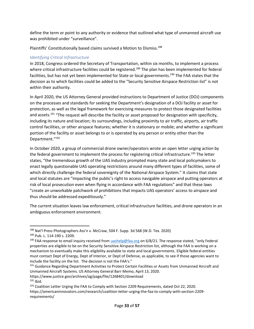define the term or point to any authority or evidence that outlined what type of unmanned aircraft use was prohibited under "surveillance".

Plaintiffs' Constitutionally based claims survived a Motion to Dismiss.<sup>188</sup>

### *Identifying Critical Infrastructure*

In 2018, Congress ordered the Secretary of Transportation, within six months, to implement a process where critical infrastructure facilities could be registered.<sup>189</sup> The plan has been implemented for federal facilities, but has not yet been implemented for State or local governments.<sup>190</sup> The FAA states that the decision as to which facilities could be added to the "Security Sensitive Airspace Restriction list" is not within their authority.

 on the processes and standards for seeking the Department's designation of a DOJ facility or asset for protection, as well as the legal framework for exercising measures to protect those designated facilities control facilities, or other airspace features; whether it is stationary or mobile; and whether a significant In April 2020, the US Attorney General provided instructions to Department of Justice (DOJ) components and assets.<sup>191</sup> "The request will describe the facility or asset proposed for designation with specificity, including its nature and location; its surroundings, including proximity to air traffic, airports, air traffic portion of the facility or asset belongs to or is operated by any person or entity other than the Department."<sup>192</sup>

In October 2020, a group of commercial drone owner/operators wrote an open letter urging action by the federal government to implement the process for registering critical infrastructure.<sup>193</sup> The letter states, "the tremendous growth of the UAS industry prompted many state and local policymakers to enact legally questionable UAS operating restrictions around many different types of facilities, some of which directly challenge the federal sovereignty of the National Airspace System." It claims that state and local statutes are "impacting the public's right to access navigable airspace and putting operators at risk of local prosecution even when flying in accordance with FAA regulations" and that these laws "create an unworkable patchwork of prohibitions that impacts UAS operators' access to airspace and thus should be addressed expeditiously."

The current situation leaves law enforcement, critical infrastructure facilities, and drone operators in an ambiguous enforcement environment.

<sup>&</sup>lt;sup>188</sup> Nat'l Press Photographers Ass'n v. McCraw, 504 F. Supp. 3d 568 (W.D. Tex. 2020)<br><sup>189</sup> Pub. L. 114-190 s. 2209.<br><sup>190</sup> FAA response to email inquiry received from [uashelp@faa.org](mailto:uashelp@faa.org) on 6/8/21. The response stated, "only

 include the facility on the list. The decision is not the FAA's." properties are eligible to be on the Security Sensitive Airspace Restriction list, although the FAA is working on a mechanism to eventually make this eligibility available to state and local governments. Eligible federal entities must contact Dept of Energy, Dept of Interior, or Dept of Defense, as applicable, to see if those agencies want to

<sup>&</sup>lt;sup>191</sup> Guidance Regarding Department Activities to Protect Certain Facilities or Assets from Unmanned Aircraft and Unmanned Aircraft Systems. US Attorney General Barr Memo, April 13, 2020.

<https://www.justice.gov/archives/ag/page/file/1268401/download>

 $192$  Ibid.

<sup>&</sup>lt;sup>193</sup> Coalition Letter Urging the FAA to Comply with Section 2209 Requirements, dated Oct 22, 2020. [https://americaninnovators.com/research/coalition-letter-urging-the-faa-to-comply-with-section-2209](https://americaninnovators.com/research/coalition-letter-urging-the-faa-to-comply-with-section-2209-requirements/) requirements/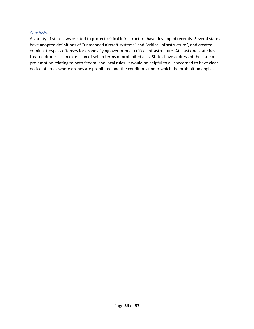#### *Conclusions*

 treated drones as an extension of self in terms of prohibited acts. States have addressed the issue of A variety of state laws created to protect critical infrastructure have developed recently. Several states have adopted definitions of "unmanned aircraft systems" and "critical infrastructure", and created criminal trespass offenses for drones flying over or near critical infrastructure. At least one state has pre-emption relating to both federal and local rules. It would be helpful to all concerned to have clear notice of areas where drones are prohibited and the conditions under which the prohibition applies.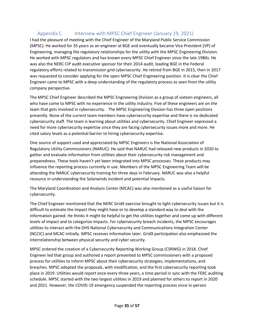# Appendix C. Interview with MPSC Chief Engineer (January 19, 2021)

 I had the pleasure of meeting with the Chief Engineer of the Maryland Public Service Commission Engineering, managing the regulatory relationships for the utility with the MPSC Engineering Division. Engineer came to MPSC with a deep understanding of the regulatory process as seen from the utility (MPSC). He worked for 35 years as an engineer at BGE and eventually became Vice President (VP) of He worked with MPSC regulators and has known every MPSC Chief Engineer since the late 1980s. He was also the NERC CIP audit executive sponsor for their 2014 audit, leading BGE in the Federal regulatory efforts related to transmission grid cybersecurity. He retired from BGE in 2015, then in 2017 was requested to consider applying for the open MPSC Chief Engineering position. It is clear the Chief company perspective.

 team that gets involved in cybersecurity. The MPSC Engineering Division has three open positions need for more cybersecurity expertise since they are facing cybersecurity issues more and more. He The MPSC Chief Engineer described the MPSC Engineering Division as a group of sixteen engineers, all who have come to MPSC with no experience in the utility industry. Five of these engineers are on the presently. None of the current team members have cybersecurity expertise and there is no dedicated cybersecurity staff. The team is learning about utilities and cybersecurity. Chief Engineer expressed a cited salary levels as a potential barrier to hiring cybersecurity expertise.

 One source of support used and appreciated by MPSC Engineers is the National Association of Regulatory Utility Commissioners (NARUC). He said that NARUC had released new products in 2020 to preparedness. These tools haven't yet been integrated into MPSC processes. These products may gather and evaluate information from utilities about their cybersecurity risk management and influence the reporting process currently in use. Members of the MPSC Engineering Team will be attending the NARUC cybersecurity training for three days in February. NARUC was also a helpful resource in understanding the Solarwinds incident and potential impacts.

The Maryland Coordination and Analysis Center (MCAC) was also mentioned as a useful liaison for cybersecurity.

 difficult to estimate the impact they might have or to develop a standard way to deal with the (NCCIC) and MCAC initially. MPSC receives information later. GridX participation also emphasized the The Chief Engineer mentioned that the NERC GridX exercise brought to light cybersecurity issues but it is information gained. He thinks it might be helpful to get the utilities together and come up with different levels of impact and to categorize impacts. For cybersecurity breach incidents, the MPSC encourages utilities to interact with the DHS National Cybersecurity and Communications Integration Center interrelationship between physical security and cyber security.

 breaches. MPSC adopted the proposals, with modification, and the first cybersecurity reporting took schedule. MPSC started with the two largest utilities in 2019 and planned for others to report in 2020 MPSC ordered the creation of a Cybersecurity Reporting Working Group (CSRWG) in 2018. Chief Engineer led that group and authored a report presented to MPSC commissioners with a proposed process for utilities to inform MPSC about their cybersecurity strategies, implementations, and place in 2019. Utilities would report once every three years, a time period in sync with the FERC auditing and 2021. However, the COVID-19 emergency suspended the reporting process since in-person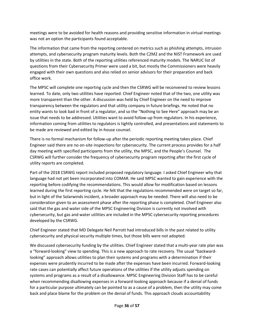meetings were to be avoided for health reasons and providing sensitive information in virtual meetings was not an option the participants found acceptable.

 The information that came from the reporting centered on metrics such as phishing attempts, intrusion attempts, and cybersecurity program maturity levels. Both the C2M2 and the NIST Framework are used by utilities in the state. Both of the reporting utilities referenced maturity models. The NARUC list of questions from their Cybersecurity Primer were used a bit, but mostly the Commissioners were heavily engaged with their own questions and also relied on senior advisors for their preparation and back office work.

 entity wants to look bad in front of a regulator, and so the "Nothing to See Here" approach may be an The MPSC will complete one reporting cycle and then the CSRWG will be reconvened to review lessons learned. To date, only two utilities have reported. Chief Engineer noted that of the two, one utility was more transparent than the other. A discussion was held by Chief Engineer on the need to improve transparency between the regulators and that utility company in future briefings. He noted that no issue that needs to be addressed. Utilities want to avoid follow-up from regulators. In his experience, information coming from utilities to regulators is tightly controlled, and presentations and statements to be made are reviewed and edited by in-house counsel.

 There is no formal mechanism for follow-up after the periodic reporting meeting takes place. Chief Engineer said there are no on-site inspections for cybersecurity. The current process provides for a half day meeting with specified participants from the utility, the MPSC, and the People's Counsel. The CSRWG will further consider the frequency of cybersecurity program reporting after the first cycle of utility reports are completed.

 language had not yet been incorporated into COMAR. He said MPSC wanted to gain experience with the Part of the 2018 CSRWG report included proposed regulatory language. I asked Chief Engineer why that reporting before codifying the recommendations. This would allow for modification based on lessons learned during the first reporting cycle. He felt that the regulations recommended were on target so far, but in light of the Solarwinds incident, a broader approach may be needed. There will also need to be consideration given to an assessment phase after the reporting phase is completed. Chief Engineer also said that the gas and water side of the MPSC Engineering Division is currently not involved with cybersecurity, but gas and water utilities are included in the MPSC cybersecurity reporting procedures developed by the CSRWG.

 Chief Engineer stated that MD Delegate Neil Parrott had introduced bills in the past related to utility cybersecurity and physical security multiple times, but those bills were not adopted.

We discussed cybersecurity funding by the utilities. Chief Engineer stated that a multi-year rate plan was a "forward-looking" view to spending. This is a new approach to rate recovery. The usual "backwardlooking" approach allows utilities to plan their systems and programs with a determination if their expenses were prudently incurred to be made after the expenses have been incurred. Forward-looking rate cases can potentially affect future operations of the utilities if the utility adjusts spending on systems and programs as a result of a disallowance. MPSC Engineering Division Staff has to be careful when recommending disallowing expenses in a forward-looking approach because if a denial of funds for a particular purpose ultimately can be pointed to as a cause of a problem, then the utility may come back and place blame for the problem on the denial of funds. This approach clouds accountability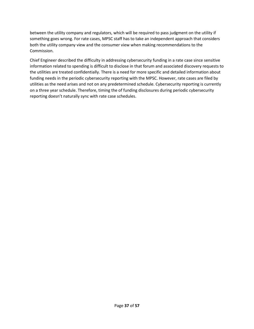something goes wrong. For rate cases, MPSC staff has to take an independent approach that considers between the utility company and regulators, which will be required to pass judgment on the utility if both the utility company view and the consumer view when making recommendations to the Commission.

 funding needs in the periodic cybersecurity reporting with the MPSC. However, rate cases are filed by Chief Engineer described the difficulty in addressing cybersecurity funding in a rate case since sensitive information related to spending is difficult to disclose in that forum and associated discovery requests to the utilities are treated confidentially. There is a need for more specific and detailed information about utilities as the need arises and not on any predetermined schedule. Cybersecurity reporting is currently on a three year schedule. Therefore, timing the of funding disclosures during periodic cybersecurity reporting doesn't naturally sync with rate case schedules.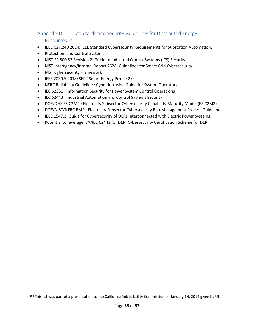# Appendix D. Standards and Security Guidelines for Distributed Energy Resources<sup>194</sup>

- IEEE C37.240 2014: IEEE Standard Cybersecurity Requirements for Substation Automation,
- Protection, and Control Systems
- NIST SP 800 82 Revision 2: Guide to Industrial Control Systems (ICS) Security
- NIST Interagency/Internal Report 7628: Guidelines for Smart Grid Cybersecurity
- NIST Cybersecurity Framework
- IEEE 2030.5 2018: SEP2 Smart Energy Profile 2.0
- NERC Reliability Guideline : Cyber Intrusion Guide for System Operators
- IEC 62351 : Information Security for Power System Control Operations
- IEC 62443 : Industrial Automation and Control Systems Security
- DOE/DHS ES C2M2 : Electricity Subsector Cybersecurity Capability Maturity Model (ES C2M2)
- DOE/NIST/NERC RMP : Electricity Subsector Cybersecurity Risk Management Process Guideline
- IEEE 1547.3: Guide for Cybersecurity of DERs Interconnected with Electric Power Systems
- Potential to leverage ISA/IEC 62443 for DER: Cybersecurity Certification Scheme for DER

<sup>&</sup>lt;sup>194</sup> This list was part of a presentation to the California Public Utility Commission on January 14, 2014 given by UL.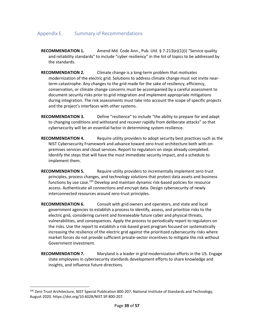### Appendix E. Summary of Recommendations

- **RECOMMENDATION 1.** Amend Md. Code Ann., Pub. Util. § 7-213(e)(1)(i) "Service quality and reliability standards" to include "cyber resiliency" in the list of topics to be addressed by the standards.
- and the project's interfaces with other systems. **RECOMMENDATION 2.** Climate change is a long-term problem that motivates modernization of the electric grid. Solutions to address climate change must not invite nearterm catastrophe. Any changes to the grid made for the sake of resiliency, efficiency, conservation, or climate change concerns must be accompanied by a careful assessment to document security risks prior to grid integration and implement appropriate mitigations during integration. The risk assessments must take into account the scope of specific projects
- **RECOMMENDATION 3.** Define "resilience" to include "the ability to prepare for and adapt to changing conditions and withstand and recover rapidly from deliberate attacks" so that cybersecurity will be an essential factor in determining system resilience.
- **RECOMMENDATION 4.** Require utility providers to adopt security best practices such as the NIST Cybersecurity Framework and advance toward zero-trust architecture both with onpremises services *and* cloud services. Report to regulators on steps already completed. Identify the steps that will have the most immediate security impact, and a schedule to implement them.
- access. Authenticate all connections and encrypt data. Design cybersecurity of newly **RECOMMENDATION 5.** Require utility providers to incrementally implement zero trust principles, process changes, and technology solutions that protect data assets and business functions by use case.195 Develop and maintain dynamic risk-based policies for resource interconnected resources around zero-trust principles.
- **RECOMMENDATION 6.** Consult with grid owners and operators, and state and local government agencies to establish a process to identify, assess, and prioritize risks to the electric grid, considering current and foreseeable future cyber and physical threats, vulnerabilities, and consequences. Apply the process to periodically report to regulators on the risks. Use the report to establish a risk-based grant program focused on systematically increasing the resilience of the electric grid against the prioritized cybersecurity risks where market forces do not provide sufficient private-sector incentives to mitigate the risk without Government investment.
- **RECOMMENDATION 7.** Maryland is a leader in grid modernization efforts in the US. Engage state employees in cybersecurity standards development efforts to share knowledge and insights, and influence future directions.

<sup>&</sup>lt;sup>195</sup> Zero Trust Architecture, NIST Special Publication 800-207, National Institute of Standards and Technology, August 2020. <https://doi.org/10.6028/NIST.SP.800-207>.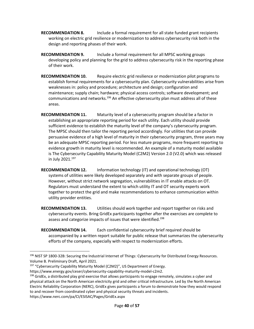- working on electric grid resilience or modernization to address cybersecurity risk both in the **RECOMMENDATION 8.** Include a formal requirement for all state funded grant recipients design and reporting phases of their work.
- **RECOMMENDATION 9.** Include a formal requirement for all MPSC working groups developing policy and planning for the grid to address cybersecurity risk in the reporting phase of their work.
- weaknesses in: policy and procedure; architecture and design; configuration and **RECOMMENDATION 10.** Require electric grid resilience or modernization pilot programs to establish formal requirements for a cybersecurity plan. Cybersecurity vulnerabilities arise from maintenance; supply chain; hardware; physical access controls; software development; and communications and networks.<sup>196</sup> An effective cybersecurity plan must address all of these areas.
- persuasive evidence of a high level of maturity in their cybersecurity program, three years may is The Cybersecurity Capability Maturity Model (C2M2) Version 2.0 (V2.0) which was released in July 2021.197 **RECOMMENDATION 11.** Maturity level of a cybersecurity program should be a factor in establishing an appropriate reporting period for each utility. Each utility should provide sufficient evidence to establish the maturity level of the company's cybersecurity program. The MPSC should then tailor the reporting period accordingly. For utilities that can provide be an adequate MPSC reporting period. For less mature programs, more frequent reporting to evidence growth in maturity level is recommended. An example of a maturity model available
- together to protect the grid and make recommendations to enhance communication within **RECOMMENDATION 12.** Information technology (IT) and operational technology (OT) systems of utilities were likely developed separately and with separate groups of people. However, without strict network segregation, vulnerabilities in IT enable attacks on OT. Regulators must understand the extent to which utility IT and OT security experts work utility provider entities.
- **RECOMMENDATION 13.** Utilities should work together and report together on risks and cybersecurity events. Bring GridEx participants together after the exercises are complete to assess and categorize impacts of issues that were identified.<sup>198</sup>
- **RECOMMENDATION 14.** Each confidential cybersecurity brief required should be accompanied by a written report suitable for public release that summarizes the cybersecurity efforts of the company, especially with respect to modernization efforts.

 $198$  GridEx, a distributed play grid exercise that allows participants to engage remotely, simulates a cyber and physical attack on the North American electricity grid and other critical infrastructure. Led by the North American Electric Reliability Corporation (NERC), GridEx gives participants a forum to demonstrate how they would respond to and recover from coordinated cyber and physical security threats and incidents.

<https://www.nerc.com/pa/CI/ESISAC/Pages/GridEx.aspx>

<sup>196</sup> NIST SP 1800-32B: Securing the Industrial Internet of Things: Cybersecurity for Distributed Energy Resources. Volume B. Preliminary Draft, April 2021.

<sup>&</sup>lt;sup>197</sup> "Cybersecurity Capability Maturity Model (C2M2)", US Department of Energy.

[https://www.energy.gov/ceser/cybersecurity-capability-maturity-model-c2m2.](https://www.energy.gov/ceser/cybersecurity-capability-maturity-model-c2m2)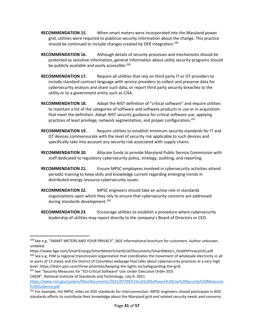- **RECOMMENDATION 15.** When smart meters were incorporated into the Maryland power grid, utilities were required to publicize security information about the change. This practice should be continued to include changes created by DER integration.<sup>199</sup>
- **RECOMMENDATION 16.** Although details of security processes and mechanisms should be protected as sensitive information, general information about utility security programs should be publicly available and easily accessible. $200$
- utility or to a government entity such as CISA. **RECOMMENDATION 17.** Require all utilities that rely on third party IT or OT providers to include standard contract language with service providers to collect and preserve data for cybersecurity analysis and share such data, or report third party security breaches to the
- to maintain a list of the categories of software and software products in use or in acquisition **RECOMMENDATION 18.** Adopt the NIST definition of "critical software" and require utilities that meet the definition. Adopt NIST security guidance for critical software use, applying practices of least privilege, network segmentation, and proper configuration.201
- **RECOMMENDATION 19.** Require utilities to establish minimum security standards for IT and OT devices commensurate with the level of security risk applicable to such devices and specifically take into account any security risk associated with supply chains.
- **RECOMMENDATION 20.** Allocate funds to provide Maryland Public Service Commission with staff dedicated to regulatory cybersecurity policy, strategy, auditing, and reporting.
- **RECOMMENDATION 21.** Ensure MPSC employees involved in cybersecurity activities attend periodic training to keep skills and knowledge current regarding emerging trends in distributed energy resource cybersecurity issues.
- **RECOMMENDATION 22.** MPSC engineers should take an active role in standards organizations upon which they rely to ensure that cybersecurity concerns are addressed during standards development.<sup>202</sup>
- **RECOMMENDATION 23.** Encourage utilities to establish a procedure where cybersecurity leadership of utilities may report directly to the company's Board of Directors or CEO.

<sup>&</sup>lt;sup>199</sup> See e.g. "SMART METERS AND YOUR PRIVACY", BGE informational brochure for customers. Author unknown, undated.

[https://www.bge.com/SmartEnergy/SmartMeterSmartGrid/Documents/SmartMeters\\_HealthPrivacyInfo.pdf](https://www.bge.com/SmartEnergy/SmartMeterSmartGrid/Documents/SmartMeters_HealthPrivacyInfo.pdf)  <sup>200</sup> See e.g. PJM (a regional transmission organization that coordinates the movement of wholesale electricity in all or parts of 13 states and the District of Columbia) webpage that talks about cybersecurity practices at a very high

level. [https://learn.pjm.com/three-priorities/keeping-the-lights-on/safeguarding-the-grid.](https://learn.pjm.com/three-priorities/keeping-the-lights-on/safeguarding-the-grid) <sup>201</sup> See "Security Measures for "EO-Critical Software" Use Under Executive Order (EO)

<sup>14028&</sup>quot;, National Institute of Standards and Technology, July 9, 2021.

[https://www.nist.gov/system/files/documents/2021/07/09/Critical%20Software%20Use%20Security%20Measures](https://www.nist.gov/system/files/documents/2021/07/09/Critical%20Software%20Use%20Security%20Measures%20%20Guidance.pdf)  %20Guidance.pdf.<br><sup>202</sup> For example, the MPSC relies on IEEE standards for interconnection. MPSC engineers should participate in IEEE

standards efforts to contribute their knowledge about the Maryland grid and related security needs and concerns.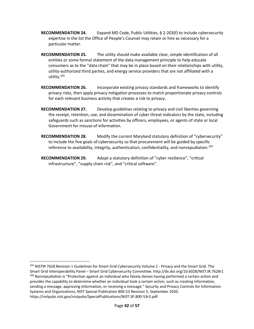- expertise in the list the Office of People's Counsel may retain or hire as necessary for a **RECOMMENDATION 24.** Expand MD Code, Public Utilities, § 2-203(f) to include cybersecurity particular matter.
- entities or some formal statement of the data management principle to help educate utility-authorized third parties, and energy service providers that are not affiliated with a **RECOMMENDATION 25.** The utility should make available clear, simple identification of all consumers as to the "data chain" that may be in place based on their relationships with utility, utility.203
- **RECOMMENDATION 26.** Incorporate existing privacy standards and frameworks to identify privacy risks, then apply privacy mitigation processes to match proportionate privacy controls for each relevant business activity that creates a risk to privacy.
- Government for misuse of information. **RECOMMENDATION 27.** Develop guidelines relating to privacy and civil liberties governing the receipt, retention, use, and dissemination of cyber threat indicators by the state, including safeguards such as sanctions for activities by officers, employees, or agents of state or local
- **RECOMMENDATION 28.** Modify the current Maryland statutory definition of "cybersecurity" to include the five goals of cybersecurity so that procurement will be guided by specific reference to availability, integrity, authentication, confidentiality, and nonrepudiation.<sup>204</sup>
- **RECOMMENDATION 29.** Adopt a statutory definition of "cyber resilience", "critical infrastructure", "supply chain risk", and "critical software".

<sup>&</sup>lt;sup>203</sup> NISTIR 7628 Revision 1 Guidelines for Smart Grid Cybersecurity Volume 2 - Privacy and the Smart Grid. The sending a message, approving information, or receiving a message." Security and Privacy Controls for Information Smart Grid Interoperability Panel – Smart Grid Cybersecurity Committee. <http://dx.doi.org/10.6028/NIST.IR.7628r1><br><sup>204</sup> Nonrepudiation is "Protection against an individual who falsely denies having performed a certain actio provides the capability to determine whether an individual took a certain action, such as creating information, Systems and Organizations, NIST Special Publication 800-53 Revision 5, September 2020. [https://nvlpubs.nist.gov/nistpubs/SpecialPublications/NIST.SP.800-53r5.pdf.](https://nvlpubs.nist.gov/nistpubs/SpecialPublications/NIST.SP.800-53r5.pdf)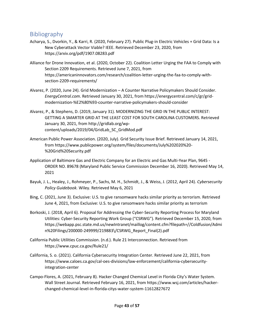# Bibliography

- Acharya, S., Dvorkin, Y., & Karri, R. (2020, February 27). Public Plug-in Electric Vehicles + Grid Data: Is a New Cyberattack Vector Viable? IEEE. Retrieved December 23, 2020, from <https://arxiv.org/pdf/1907.08283.pdf>
- Alliance for Drone Innovation, et al. (2020, October 22). Coalition Letter Urging the FAA to Comply with Section 2209 Requirements. Retrieved June 7, 2021, from [https://americaninnovators.com/research/coalition-letter-urging-the-faa-to-comply-with](https://americaninnovators.com/research/coalition-letter-urging-the-faa-to-comply-with-section-2209-requirements/)section-2209-requirements/
- Alvarez, P. (2020, June 24). Grid Modernization A Counter Narrative Policymakers Should Consider. *[EnergyCentral.com](https://EnergyCentral.com)*. Retrieved January 30, 2021, from [https://energycentral.com/c/gr/grid](https://energycentral.com/c/gr/grid-modernization-%E2%80%93-counter-narrative-policymakers-should-consider)[modernization-%E2%80%93-counter-narrative-policymakers-should-consider](https://energycentral.com/c/gr/grid-modernization-%E2%80%93-counter-narrative-policymakers-should-consider)
- Alvarez, P., & Stephens, D. (2019, January 31). MODERNIZING THE GRID IN THE PUBLIC INTEREST: GETTING A SMARTER GRID AT THE LEAST COST FOR SOUTH CAROLINA CUSTOMERS. Retrieved January 30, 2021, from [http://gridlab.org/wp](http://gridlab.org/wp-content/uploads/2019/04/GridLab_SC_GridMod.pdf)[content/uploads/2019/04/GridLab\\_SC\\_GridMod.pdf](http://gridlab.org/wp-content/uploads/2019/04/GridLab_SC_GridMod.pdf)
- American Public Power Association. (2020, July). Grid Security Issue Brief. Retrieved January 14, 2021, from [https://www.publicpower.org/system/files/documents/July%202020%20-](https://www.publicpower.org/system/files/documents/July%202020%20-%20Grid%20Security.pdf) [%20Grid%20Security.pdf](https://www.publicpower.org/system/files/documents/July%202020%20-%20Grid%20Security.pdf)
- Application of Baltimore Gas and Electric Company for an Electric and Gas Multi-Year Plan, 9645 ORDER NO. 89678 (Maryland Public Service Commission December 16, 2020). Retrieved May 14, 2021
- Bayuk, J. L., Healey, J., Rohmeyer, P., Sachs, M. H., Schmidt, J., & Weiss, J. (2012, April 24). *Cybersecurity Policy Guidebook.* Wiley. Retrieved May 6, 2021
- Bing, C. (2021, June 3). Exclusive: U.S. to give ransomware hacks similar priority as terrorism. Retrieved June 4, 2021, from Exclusive: U.S. to give ransomware hacks similar priority as terrorism
- Borkoski, J. (2018, April 6). Proposal for Addressing the Cyber-Security Reporting Process for Maryland Utilities: Cyber-Security Reporting Work Group ("CSRWG"). Retrieved December 15, 2020, from <https://webapp.psc.state.md.us/newIntranet/maillog/content.cfm?filepath=//Coldfusion/Admi> n%20Filings/200000-249999/219883\/CSRWG\_Report\_Final(2).pdf
- California Public Utilities Commission. (n.d.). Rule 21 Interconnection. Retrieved from [https://www.cpuc.ca.gov/Rule21/](https://www.cpuc.ca.gov/Rule21)
- California, S. o. (2021). California Cybersecurity Integration Center. Retrieved June 22, 2021, from [https://www.caloes.ca.gov/cal-oes-divisions/law-enforcement/california-cybersecurity](https://www.caloes.ca.gov/cal-oes-divisions/law-enforcement/california-cybersecurity-integration-center)integration-center
- Campo-Flores, A. (2021, February 8). Hacker Changed Chemical Level in Florida City's Water System. Wall Street Journal. Retrieved February 16, 2021, from [https://www.wsj.com/articles/hacker](https://www.wsj.com/articles/hacker-changed-chemical-level-in-florida-citys-water-system-11612827672)[changed-chemical-level-in-florida-citys-water-system-11612827672](https://www.wsj.com/articles/hacker-changed-chemical-level-in-florida-citys-water-system-11612827672)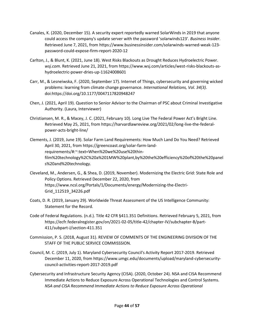- Canales, K. (2020, December 15). A security expert reportedly warned SolarWinds in 2019 that anyone could access the company's update server with the password 'solarwinds123'. *Business Insider*. Retrieved June 7, 2021, from [https://www.businessinsider.com/solarwinds-warned-weak-123](https://www.businessinsider.com/solarwinds-warned-weak-123-password-could-expose-firm-report-2020-12) [password-could-expose-firm-report-2020-12](https://www.businessinsider.com/solarwinds-warned-weak-123-password-could-expose-firm-report-2020-12)
- Carlton, J., & Blunt, K. (2021, June 18). West Risks Blackouts as Drought Reduces Hydroelectric Power. *[wsj.com](https://www.wsj.com/)*. Retrieved June 21, 2021, from [https://www.wsj.com/articles/west-risks-blackouts-as](https://www.wsj.com/articles/west-risks-blackouts-as-hydroelectric-power-dries-up-11624008601)[hydroelectric-power-dries-up-11624008601](https://www.wsj.com/articles/west-risks-blackouts-as-hydroelectric-power-dries-up-11624008601)
- Carr, M., & Lesneiwska, F. (2020, September 17). Internet of Things, cybersecurity and governing wicked problems: learning from climate change governance. *International Relations, Vol. 34(3)*. doi[:https://doi.org/10.1177/0047117820948247](https://doi.org/10.1177/0047117820948247)
- Chen, J. (2021, April 19). Question to Senior Advisor to the Chairman of PSC about Criminal Investigative Authority. (Laura, Interviewer)
- Christiansen, M. R., & Macey, J. C. (2021, February 10). Long Live The Federal Power Act's Bright Line. Retrieved May 25, 2021, from [https://harvardlawreview.org/2021/02/long-live-the-federal](https://harvardlawreview.org/2021/02/long-live-the-federal-power-acts-bright-line/)[power-acts-bright-line/](https://harvardlawreview.org/2021/02/long-live-the-federal-power-acts-bright-line/)
- Clements, J. (2019, June 19). Solar Farm Land Requirements: How Much Land Do You Need? Retrieved April 30, 2021, from [https://greencoast.org/solar-farm-land](https://greencoast.org/solar-farm-land-requirements/#:~:text=When%20we%20use%20thin-film%20technology%2C%20a%201MW%20plant,by%20the%20efficiency%20of%20the%20panel%20s%20and%20technology)requirements/#:~:text=When%20we%20use%20thin[film%20technology%2C%20a%201MW%20plant,by%20the%20efficiency%20of%20the%20panel](https://greencoast.org/solar-farm-land-requirements/#:~:text=When%20we%20use%20thin-film%20technology%2C%20a%201MW%20plant,by%20the%20efficiency%20of%20the%20panel%20s%20and%20technology) s%20and%20technology.
- Cleveland, M., Andersen, G., & Shea, D. (2019, November). Modernizing the Electric Grid: State Role and Policy Options. Retrieved December 22, 2020, from [https://www.ncsl.org/Portals/1/Documents/energy/Modernizing-the-Electri-](https://www.ncsl.org/Portals/1/Documents/energy/Modernizing-the-Electri-Grid_112519_34226.pdf)Grid\_112519\_34226.pdf
- Coats, D. R. (2019, January 29). Worldwide Threat Assessment of the US Intelligence Community: Statement for the Record.
- Code of Federal Regulations. (n.d.). Title 42 CFR §411.351 Definitions. Retrieved February 5, 2021, from [https://ecfr.federalregister.gov/on/2021-02-05/title-42/chapter-IV/subchapter-B/part-](https://ecfr.federalregister.gov/on/2021-02-05/title-42/chapter-IV/subchapter-B/part-411/subpart-J/section-411.351)411/subpart-J/section-411.351
- Commission, P. S. (2018, August 31). REVIEW OF COMMENTS OF THE ENGINEERING DIVISION OF THE STAFF OF THE PUBLIC SERVICE COMMISSSION.
- Council, M. C. (2019, July 1). Maryland Cybersecurity Council's Activity Report 2017-2019. Retrieved December 11, 2020, from [https://www.umgc.edu/documents/upload/maryland-cybersecurity](https://www.umgc.edu/documents/upload/maryland-cybersecurity-council-activities-report-2017-2019.pdf)[council-activities-report-2017-2019.pdf](https://www.umgc.edu/documents/upload/maryland-cybersecurity-council-activities-report-2017-2019.pdf)
- Cybersecurity and Infrastructure Security Agency (CISA). (2020, October 24). NSA and CISA Recommend Immediate Actions to Reduce Exposure Across Operational Technologies and Control Systems. *NSA and CISA Recommend Immediate Actions to Reduce Exposure Across Operational*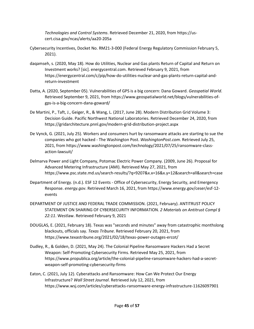*Technologies and Control Systems*. Retrieved December 21, 2020, from<https://us>[cert.cisa.gov/ncas/alerts/aa20-205a](https://cert.cisa.gov/ncas/alerts/aa20-205a) 

- Cybersecurity Incentives, Docket No. RM21-3-000 (Federal Energy Regulatory Commission February 5, 2021).
- daqamseh, s. (2020, May 18). How do Utilities, Nuclear and Gas plants Return of Capital and Return on Investment works? [sic]. [energycentral.com](https://energycentral.com). Retrieved February 9, 2021, from [https://energycentral.com/c/pip/how-do-utilities-nuclear-and-gas-plants-return-capital-and](https://energycentral.com/c/pip/how-do-utilities-nuclear-and-gas-plants-return-capital-and-return-investment)return-investment
- Datta, A. (2020, September 05). Vulnerabilities of GPS is a big concern: Dana Goward. *Geospatial World*. Retrieved September 9, 2021, from [https://www.geospatialworld.net/blogs/vulnerabilities-of](https://www.geospatialworld.net/blogs/vulnerabilities-of-gps-is-a-big-concern-dana-goward/)[gps-is-a-big-concern-dana-goward/](https://www.geospatialworld.net/blogs/vulnerabilities-of-gps-is-a-big-concern-dana-goward/)
- De Martini, P., Taft, J., Geiger, R., & Wang, L. (2017, June 28). Modern Distribution Grid Volume 3: Decision Guide. Pacific Northwest National Laboratories. Retrieved December 24, 2020, from <https://gridarchitecture.pnnl.gov/modern-grid-distribution-project.aspx>
- companies who got hacked The Washington Post. *[WashingtonPost.com](https://WashingtonPost.com)*. Retrieved July 25, De Vynck, G. (2021, July 25). Workers and consumers hurt by ransomware attacks are starting to sue the 2021, from [https://www.washingtonpost.com/technology/2021/07/25/ransomware-class](https://www.washingtonpost.com/technology/2021/07/25/ransomware-class-action-lawsuit/)[action-lawsuit/](https://www.washingtonpost.com/technology/2021/07/25/ransomware-class-action-lawsuit/)
- Delmarva Power and Light Company, Potomac Electric Power Company. (2009, June 26). Proposal for Advanced Metering Infrastructure (AMI). Retrieved May 27, 2021, from <https://www.psc.state.md.us/search-results/?q=9207&x.x=16&x.y=12&search=all&search=case>
- Department of Energy. (n.d.). ESF 12 Events Office of Cybersecurity, Energy Security, and Emergency Response. *[energy.gov](https://energy.gov)*. Retrieved March 16, 2021, from [https://www.energy.gov/ceser/esf-12](https://www.energy.gov/ceser/esf-12-events) [events](https://www.energy.gov/ceser/esf-12-events)
- DEPARTMENT OF JUSTICE AND FEDERAL TRADE COMMISSION. (2021, February). ANTITRUST POLICY STATEMENT ON SHARING OF CYBERSECURITY INFORMATION. *2 Materials on Antitrust Compl § 22:11*. Westlaw. Retrieved February 9, 2021
- DOUGLAS, E. (2021, February 18). Texas was "seconds and minutes" away from catastrophic monthslong blackouts, officials say. *Texas Tribune*. Retrieved February 20, 2021, from [https://www.texastribune.org/2021/02/18/texas-power-outages-ercot/](https://www.texastribune.org/2021/02/18/texas-power-outages-ercot)
- Dudley, R., & Golden, D. (2021, May 24). The Colonial Pipeline Ransomware Hackers Had a Secret Weapon: Self-Promoting Cybersecurity Firms. Retrieved May 25, 2021, from [https://www.propublica.org/article/the-colonial-pipeline-ransomware-hackers-had-a-secret](https://www.propublica.org/article/the-colonial-pipeline-ransomware-hackers-had-a-secret-weapon-self-promoting-cybersecurity-firms)weapon-self-promoting-cybersecurity-firms
- Eaton, C. (2021, July 12). Cyberattacks and Ransomware: How Can We Protect Our Energy Infrastructure? *Wall Street Journal*. Retrieved July 12, 2021, from <https://www.wsj.com/articles/cyberattacks-ransomware-energy-infrastructure-11626097901>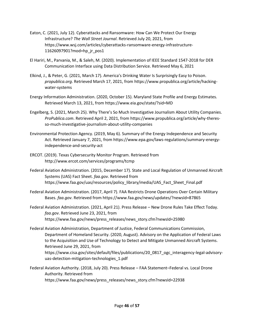- Eaton, C. (2021, July 12). Cyberattacks and Ransomware: How Can We Protect Our Energy Infrastructure? *The Wall Street Journal*. Retrieved July 20, 2021, from [https://www.wsj.com/articles/cyberattacks-ransomware-energy-infrastructure-](https://www.wsj.com/articles/cyberattacks-ransomware-energy-infrastructure-11626097901?mod=hp_jr_pos1)11626097901?mod=hp\_jr\_pos1
- El Hariri, M., Parvania, M., & Saleh, M. (2020). Implementation of IEEE Standard 1547-2018 for DER Communication Interface using Data Distribution Service. Retrieved May 6, 2021
- Elkind, J., & Peter, G. (2021, March 17). America's Drinking Water Is Surprisingly Easy to Poison. *[propublica.org](https://propublica.org)*. Retrieved March 17, 2021, from [https://www.propublica.org/article/hacking](https://www.propublica.org/article/hacking-water-systems)[water-systems](https://www.propublica.org/article/hacking-water-systems)
- Energy Information Administration. (2020, October 15). Maryland State Profile and Energy Estimates. Retrieved March 13, 2021, from<https://www.eia.gov/state/?sid=MD>
- Engelberg, S. (2021, March 25). Why There's So Much Investigative Journalism About Utility Companies. *[ProPublica.com](https://ProPublica.com)*. Retrieved April 2, 2021, from [https://www.propublica.org/article/why-theres](https://www.propublica.org/article/why-theres-so-much-investigative-journalism-about-utility-companies)[so-much-investigative-journalism-about-utility-companies](https://www.propublica.org/article/why-theres-so-much-investigative-journalism-about-utility-companies)
- Environmental Protection Agency. (2019, May 6). Summary of the Energy Independence and Security Act. Retrieved January 7, 2021, from [https://www.epa.gov/laws-regulations/summary-energy](https://www.epa.gov/laws-regulations/summary-energy-independence-and-security-act)[independence-and-security-act](https://www.epa.gov/laws-regulations/summary-energy-independence-and-security-act)
- ERCOT. (2019). Texas Cybersecurity Monitor Program. Retrieved from <http://www.ercot.com/services/programs/tcmp>
- Federal Aviation Administration. (2015, December 17). State and Local Regulation of Unmanned Aircraft Systems (UAS) Fact Sheet. *[faa.gov](http://faa.gov/)*. Retrieved from [https://www.faa.gov/uas/resources/policy\\_library/media/UAS\\_Fact\\_Sheet\\_Final.pdf](https://www.faa.gov/uas/resources/policy_library/media/UAS_Fact_Sheet_Final.pdf)
- Federal Aviation Administration. (2017, April 7). FAA Restricts Drone Operations Over Certain Military Bases. *[faa.gov](http://faa.gov/)*. Retrieved from <https://www.faa.gov/news/updates/?newsId=87865>
- Federal Aviation Administration. (2021, April 21). Press Release New Drone Rules Take Effect Today. *[faa.gov](http://faa.gov/)*. Retrieved June 23, 2021, from [https://www.faa.gov/news/press\\_releases/news\\_story.cfm?newsId=25980](https://www.faa.gov/news/press_releases/news_story.cfm?newsId=25980)
- Department of Homeland Security. (2020, August). Advisory on the Application of Federal Laws Federal Aviation Administration, Department of Justice, Federal Communications Commission, to the Acquisition and Use of Technology to Detect and Mitigate Unmanned Aircraft Systems. Retrieved June 29, 2021, from [https://www.cisa.gov/sites/default/files/publications/20\\_0817\\_ogc\\_interagency-legal-advisory](https://www.cisa.gov/sites/default/files/publications/20_0817_ogc_interagency-legal-advisory-uas-detection-mitigation-technologies_1.pdf)uas-detection-mitigation-technologies\_1.pdf
- Federal Aviation Authority. (2018, July 20). Press Release FAA Statement–Federal vs. Local Drone Authority. Retrieved from [https://www.faa.gov/news/press\\_releases/news\\_story.cfm?newsId=22938](https://www.faa.gov/news/press_releases/news_story.cfm?newsId=22938)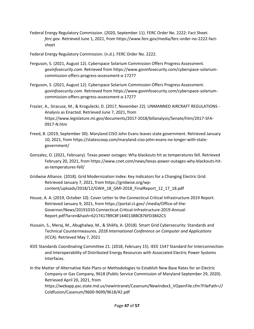Federal Energy Regulatory Commission. (2020, September 11). FERC Order No. 2222: Fact Sheet. *[ferc.gov](https://ferc.gov)*. Retrieved June 1, 2021, from [https://www.ferc.gov/media/ferc-order-no-2222-fact](https://www.ferc.gov/media/ferc-order-no-2222-fact-sheet)[sheet](https://www.ferc.gov/media/ferc-order-no-2222-fact-sheet) 

Federal Energy Regulatory Commission. (n.d.). FERC Order No. 2222.

- Ferguson, S. (2021, August 12). Cyberspace Solarium Commission Offers Progress Assessment. *[govinfosecurity.com](https://govinfosecurity.com)*. Retrieved from [https://www.govinfosecurity.com/cyberspace-solarium](https://www.govinfosecurity.com/cyberspace-solarium-commission-offers-progress-assessment-a-17277)[commission-offers-progress-assessment-a-17277](https://www.govinfosecurity.com/cyberspace-solarium-commission-offers-progress-assessment-a-17277)
- Ferguson, S. (2021, August 12). Cyberspace Solarium Commission Offers Progress Assessment. *[govinfosecurity.com](https://govinfosecurity.com)*. Retrieved from [https://www.govinfosecurity.com/cyberspace-solarium](https://www.govinfosecurity.com/cyberspace-solarium-commission-offers-progress-assessment-a-17277)[commission-offers-progress-assessment-a-17277](https://www.govinfosecurity.com/cyberspace-solarium-commission-offers-progress-assessment-a-17277)
- Frazier, A., Siracuse, M., & Krogulecki, D. (2017, November 22). UNMANNED AIRCRAFT REGULATIONS Analysis as Enacted. Retrieved June 7, 2021, from [https://www.legislature.mi.gov/documents/2017-2018/billanalysis/Senate/htm/2017-SFA-](https://www.legislature.mi.gov/documents/2017-2018/billanalysis/Senate/htm/2017-SFA-0917-N.htm)0917-N.htm
- Freed, B. (2019, September 30). Maryland CISO John Evans leaves state government. Retrieved January 10, 2021, from [https://statescoop.com/maryland-ciso-john-evans-no-longer-with-state](https://statescoop.com/maryland-ciso-john-evans-no-longer-with-state-government/)[government/](https://statescoop.com/maryland-ciso-john-evans-no-longer-with-state-government/)
- Gonzalez, O. (2021, February). Texas power outages: Why blackouts hit as temperatures fell. Retrieved February 20, 2021, from [https://www.cnet.com/news/texas-power-outages-why-blackouts-hit](https://www.cnet.com/news/texas-power-outages-why-blackouts-hit-as-temperatures-fell/)[as-temperatures-fell/](https://www.cnet.com/news/texas-power-outages-why-blackouts-hit-as-temperatures-fell/)
- Gridwise Alliance. (2018). Grid Modernization Index: Key Indicators for a Changing Electric Grid. Retrieved January 7, 2021, from [https://gridwise.org/wp](https://gridwise.org/wp-content/uploads/2018/12/GWA_18_GMI-2018_FinalReport_12_17_18.pdf)[content/uploads/2018/12/GWA\\_18\\_GMI-2018\\_FinalReport\\_12\\_17\\_18.pdf](https://gridwise.org/wp-content/uploads/2018/12/GWA_18_GMI-2018_FinalReport_12_17_18.pdf)
- House, A. A. (2019, October 10). Cover Letter to the Connecticut Critical Infrastructure 2019 Report. Retrieved January 9, 2021, from [https://portal.ct.gov/-/media/Office-of-the-](https://portal.ct.gov/-/media/Office-of-the-Governor/News/20191010-Connecticut-Critical-Infrastructure-2019-AnnualReport.pdf?la=en&hash=6217417B9C8F1440138BC876FD3842C5)[Governor/News/20191010-Connecticut-Critical-Infrastructure-2019-Annual-](https://portal.ct.gov/-/media/Office-of-the-Governor/News/20191010-Connecticut-Critical-Infrastructure-2019-AnnualReport.pdf?la=en&hash=6217417B9C8F1440138BC876FD3842C5)Report.pdf?la=en&hash=6217417B9C8F1440138BC876FD3842C5
- Hussain, S., Meraj, M., Abughalwa, M., & Shikfa, A. (2018). Smart Grid Cybersecurity: Standards and Technical Countermeasures. *2018 International Conference on Computer and Applications (ICCA)*. Retrieved May 7, 2021
- IEEE Standards Coordinating Committee 21. (2018, February 15). IEEE 1547 Standard for Interconnection and Interoperability of Distributed Energy Resources with Associated Electric Power Systems Interfaces.
- In the Matter of Alternative Rate Plans or Methodologies to Establish New Base Rates for an Electric Company or Gas Company, 9618 (Public Service Commission of Maryland September 29, 2020). Retrieved April 20, 2021, from

[https://webapp.psc.state.md.us/newIntranet/Casenum/NewIndex3\\_VOpenFile.cfm?FilePath=//](https://webapp.psc.state.md.us/newIntranet/Casenum/NewIndex3_VOpenFile.cfm?FilePath=//)  Coldfusion/Casenum/9600-9699/9618/42.pdf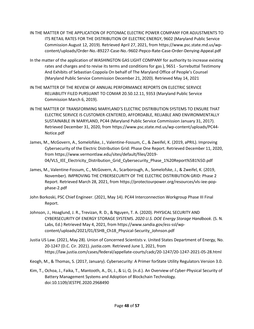- IN THE MATTER OF THE APPLICATION OF POTOMAC ELECTRIC POWER COMPANY FOR ADJUSTMENTS TO ITS RETAIL RATES FOR THE DISTRIBUTION OF ELECTRIC ENERGY, 9602 (Maryland Public Service Commission August 12, 2019). Retrieved April 27, 2021, from [https://www.psc.state.md.us/wp](https://www.psc.state.md.us/wp-content/uploads/Order-No.-89227-Case-No.-9602-Pepco-Rate-Case-Order-Denying-Appeal.pdf)[content/uploads/Order-No.-89227-Case-No.-9602-Pepco-Rate-Case-Order-Denying-Appeal.pdf](https://www.psc.state.md.us/wp-content/uploads/Order-No.-89227-Case-No.-9602-Pepco-Rate-Case-Order-Denying-Appeal.pdf)
- rates and charges and to revise its terms and conditions for gas ), 9651 Surrebuttal Testimony In the matter of the application of WASHINGTON GAS LIGHT COMPANY for authority to increase existing And Exhibits of Sebastian Coppola On behalf of The Maryland Office of People's Counsel (Maryland Public Service Commission December 21, 2020). Retrieved May 14, 2021
- Commission March 6, 2019). IN THE MATTER OF THE REVIEW OF ANNUAL PERFORMANCE REPORTS ON ELECTRIC SERVICE RELIABILITY FILED PURSUANT TO COMAR 20.50.12.11, 9353 (Maryland Public Service
- IN THE MATTER OF TRANSFORMING MARYLAND'S ELECTRIC DISTRIBUTION SYSTEMS TO ENSURE THAT ELECTRIC SERVICE IS CUSTOMER-CENTERED, AFFORDABLE, RELIABLE AND ENVIRONMENTALLY SUSTAINABLE IN MARYLAND, PC44 (Maryland Public Service Commission January 31, 2017). Retrieved December 31, 2020, from [https://www.psc.state.md.us/wp-content/uploads/PC44-](https://www.psc.state.md.us/wp-content/uploads/PC44-Notice.pdf) [Notice.pdf](https://www.psc.state.md.us/wp-content/uploads/PC44-Notice.pdf)
- James, M., McGovern, A., Somelofske, J., Valentine-Fossum, C., & Zweifel, K. (2019, aPRIL). Improving Cybersecurity of the Electric Distribution Grid: Phase One Report. Retrieved December 11, 2020, from [https://www.vermontlaw.edu/sites/default/files/2019-](https://www.vermontlaw.edu/sites/default/files/2019-04/VLS_IEE_Electricity_Distribution_Grid_Cybersecurity_Phase_1%20Report%5B1%5D.pdf) 04/VLS\_IEE\_Electricity\_Distribution\_Grid\_Cybersecurity\_Phase\_1%20Report%5B1%5D.pdf
- November). IMPROVING THE CYBERSECURITY OF THE ELECTRIC DISTRIBUTION GRID: Phase 2 James, M., Valentine-Fossum, C., McGovern, A., Scarborough, A., Somelofske, J., & Zweifel, K. (2019, Report. Retrieved March 28, 2021, from [https://protectourpower.org/resources/vls-iee-pop](https://protectourpower.org/resources/vls-iee-pop-phase-2.pdf)[phase-2.pdf](https://protectourpower.org/resources/vls-iee-pop-phase-2.pdf)
- John Borkoski, PSC Chief Engineer. (2021, May 14). PC44 Interconnection Workgroup Phase III Final Report.
- Johnson, J., Hoaglund, J. R., Trevizan, R. D., & Nguyen, T. A. (2020). PHYSICAL SECURITY AND CYBERSECURITY OF ENERGY STORAGE SYSTEMS. *2020 U.S. DOE Energy Storage Handbook*. (S. N. Labs, Ed.) Retrieved May 4, 2021, from [https://www.sandia.gov/ess-ssl/wp](https://www.sandia.gov/ess-ssl/wp-content/uploads/2021/01/ESHB_Ch18_Physical-Security_Johnson.pdf)[content/uploads/2021/01/ESHB\\_Ch18\\_Physical-Security\\_Johnson.pdf](https://www.sandia.gov/ess-ssl/wp-content/uploads/2021/01/ESHB_Ch18_Physical-Security_Johnson.pdf)
- Justia US Law. (2021, May 28). Union of Concerned Scientists v. United States Department of Energy, No. 20-1247 (D.C. Cir. 2021). *[justia.com](https://justia.com)*. Retrieved June 1, 2021, from <https://law.justia.com/cases/federal/appellate-courts/cadc/20-1247/20-1247-2021-05-28.html>
- Keogh, M., & Thomas, S. (2017, January). Cybersecurity: A Primer forState Utility Regulators Version 3.0.
- Kim, T., Ochoa, J., Faika, T., Mantooth, A., Di, J., & Li, Q. (n.d.). An Overview of Cyber-Physical Security of Battery Management Systems and Adoption of Blockchain Technology. doi:10.1109/JESTPE.2020.2968490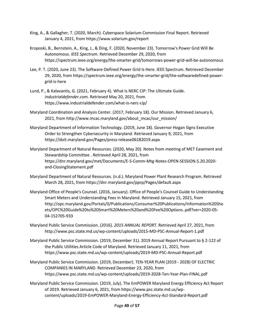- King, A., & Gallagher, T. (2020, March). Cyberspace Solarium Commission Final Report. Retrieved January 4, 2021, from <https://www.solarium.gov/report>
- Kroposki, B., Bernstein, A., King, J., & Ding, F. (2020, November 23). Tomorrow's Power Grid Will Be Autonomous. *IEEE Spectrum*. Retrieved December 29, 2020, from <https://spectrum.ieee.org/energy/the-smarter-grid/tomorrows-power-grid-will-be-autonomous>
- Lee, P. T. (2020, June 23). The Software-Defined Power Grid Is Here. IEEE Spectrum. Retrieved December 29, 2020, from [https://spectrum.ieee.org/energy/the-smarter-grid/the-softwaredefined-power](https://spectrum.ieee.org/energy/the-smarter-grid/the-softwaredefined-power-grid-is-here)[grid-is-here](https://spectrum.ieee.org/energy/the-smarter-grid/the-softwaredefined-power-grid-is-here)
- Lund, P., & Kalavantis, G. (2021, February 4). What Is NERC CIP: The Ultimate Guide. *[industrialdefender.com](https://industrialdefender.com)*. Retrieved May 20, 2021, from [https://www.industrialdefender.com/what-is-nerc-cip/](https://www.industrialdefender.com/what-is-nerc-cip)
- Maryland Coordination and Analysis Center. (2017, February 18). Our Mission. Retrieved January 6, 2021, from [http://www.mcac.maryland.gov/about\\_mcac/our\\_mission/](http://www.mcac.maryland.gov/about_mcac/our_mission)
- Maryland Department of Information Technology. (2019, June 18). Governor Hogan Signs Executive Order to Strengthen Cybersecurity in Maryland. Retrieved January 9, 2021, from <https://doit.maryland.gov/Pages/press-release06182019.aspx>
- Maryland Department of Natural Resources. (2020, May 20). Notes from meeting of MET Easement and Stewardship Committee . Retrieved April 28, 2021, from [https://dnr.maryland.gov/met/Documents/E-S-Comm-Mtg-Notes-OPEN-SESSION.5.20.2020](https://dnr.maryland.gov/met/Documents/E-S-Comm-Mtg-Notes-OPEN-SESSION.5.20.2020-and-ClosingStatement.pdf) and-ClosingStatement.pdf
- Maryland Department of Natural Resources. (n.d.). Maryland Power Plant Research Program. Retrieved March 28, 2021, from <https://dnr.maryland.gov/pprp/Pages/default.aspx>
- Smart Meters and Understanding Fees in Maryland. Retrieved January 15, 2021, from Maryland Office of People's Counsel. (2016, January). Office of People's Counsel Guide to Understanding [http://opc.maryland.gov/Portals/0/Publications/Consumer%20Publications/Information%20She](http://opc.maryland.gov/Portals/0/Publications/Consumer%20Publications/Information%20Sheets/OPC%20Guide%20to%20Smart%20Meters%20and%20Fee%20Options..pdf?ver=2020-0504-152705-933) ets/OPC%20Guide%20to%20Smart%20Meters%20and%20Fee%20Options..pdf?ver=2020-05- 04-152705-933
- Maryland Public Service Commission. (2016). *2015 ANNUAL REPORT.* Retrieved April 27, 2021, from <http://www.psc.state.md.us/wp-content/uploads/2015-MD-PSC-Annual-Report-1.pdf>
- Maryland Public Service Commission. (2019, December 31). 2019 Annual Report Pursuant to § 2-122 of the Public Utilities Article Code of Maryland. Retrieved January 11, 2021, from <https://www.psc.state.md.us/wp-content/uploads/2019-MD-PSC-Annual-Report.pdf>
- Maryland Public Service Commission. (2019, December). TEN-YEAR PLAN (2019 2028) OF ELECTRIC COMPANIES IN MARYLAND. Retrieved December 23, 2020, from <https://www.psc.state.md.us/wp-content/uploads/2019-2028-Ten-Year-Plan-FINAL.pdf>
- Maryland Public Service Commission. (2019, July). The EmPOWER Maryland Energy Efficiency Act Report of 2019. Retrieved January 6, 2021, from [https://www.psc.state.md.us/wp](https://www.psc.state.md.us/wp-content/uploads/2019-EmPOWER-Maryland-Energy-Efficiency-Act-Standard-Report.pdf)[content/uploads/2019-EmPOWER-Maryland-Energy-Efficiency-Act-Standard-Report.pdf](https://www.psc.state.md.us/wp-content/uploads/2019-EmPOWER-Maryland-Energy-Efficiency-Act-Standard-Report.pdf)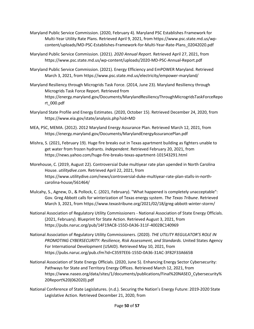- Maryland Public Service Commission. (2020, February 4). Maryland PSC Establishes Framework for Multi-Year Utility Rate Plans. Retrieved April 9, 2021, from [https://www.psc.state.md.us/wp](https://www.psc.state.md.us/wp-content/uploads/MD-PSC-Establishes-Framework-for-Multi-Year-Rate-Plans_02042020.pdf)[content/uploads/MD-PSC-Establishes-Framework-for-Multi-Year-Rate-Plans\\_02042020.pdf](https://www.psc.state.md.us/wp-content/uploads/MD-PSC-Establishes-Framework-for-Multi-Year-Rate-Plans_02042020.pdf)
- Maryland Public Service Commission. (2021). *2020 Annual Report.* Retrieved April 27, 2021, from <https://www.psc.state.md.us/wp-content/uploads/2020-MD-PSC-Annual-Report.pdf>
- Maryland Public Service Commission. (2021). Energy Efficiency and EmPOWER Maryland. Retrieved March 3, 2021, from [https://www.psc.state.md.us/electricity/empower-maryland/](https://www.psc.state.md.us/electricity/empower-maryland)
- Maryland Resiliency through Microgrids Task Force. (2014, June 23). Maryland Resiliency through Microgrids Task Force Report. Retrieved from [https://energy.maryland.gov/Documents/MarylandResiliencyThroughMicrogridsTaskForceRepo](https://energy.maryland.gov/Documents/MarylandResiliencyThroughMicrogridsTaskForceReport_000.pdf)  rt\_000.pdf
- Maryland State Profile and Energy Estimates. (2020, October 15). Retrieved December 24, 2020, from <https://www.eia.gov/state/analysis.php?sid=MD>
- MEA, PSC, MEMA. (2012). 2012 Maryland Energy Assurance Plan. Retrieved March 12, 2021, from <https://energy.maryland.gov/Documents/MarylandEnergyAssurancePlan.pdf>
- Mishra, S. (2021, February 19). Huge fire breaks out in Texas apartment building as fighters unable to get water from frozen hydrants. *Independent*. Retrieved February 20, 2021, from <https://news.yahoo.com/huge-fire-breaks-texas-apartment-101543291.html>
- Morehouse, C. (2019, August 22). Controversial Duke multiyear rate plan upended in North Carolina House. *[utilitydive.com](https://utilitydive.com)*. Retrieved April 22, 2021, from [https://www.utilitydive.com/news/controversial-duke-multiyear-rate-plan-stalls-in-north](https://www.utilitydive.com/news/controversial-duke-multiyear-rate-plan-stalls-in-north-carolina-house/561464/)carolina-house/561464/
- Mulcahy, S., Agnew, D., & Pollock, C. (2021, February). "What happened is completely unacceptable": Gov. Greg Abbott calls for winterization of Texas energy system. *The Texas Tribune*. Retrieved March 3, 2021, from [https://www.texastribune.org/2021/02/18/greg-abbott-winter-storm/](https://www.texastribune.org/2021/02/18/greg-abbott-winter-storm)
- National Association of Regulatory Utility Commissioners National Association of State Energy Officials. (2021, February). Blueprint for State Action. Retrieved August 3, 2021, from <https://pubs.naruc.org/pub/14F19AC8-155D-0A36-311F-4002BC140969>
- National Association of Regulatory Utility Commissioners. (2020). *THE UTILITY REGULATOR'S ROLE IN PROMOTING CYBERSECURITY: Resilience, Risk Assessment, and Standards.* United States Agency For International Development (USAID). Retrieved May 10, 2021, from <https://pubs.naruc.org/pub.cfm?id=C3597EE6-155D-0A36-31AC-3F82F33A665B>
- National Association of State Energy Officials. (2020, June 5). Enhancing Energy Sector Cybersecurity: Pathways for State and Territory Energy Offices. Retrieved March 12, 2021, from [https://www.naseo.org/data/sites/1/documents/publications/Final%20NASEO\\_Cybersecurity%](https://www.naseo.org/data/sites/1/documents/publications/Final%20NASEO_Cybersecurity%20Report%20(062020).pdf)  20Report%20(062020).pdf
- National Conference of State Legislatures. (n.d.). Securing the Nation's Energy Future: 2019-2020 State Legislative Action. Retrieved December 21, 2020, from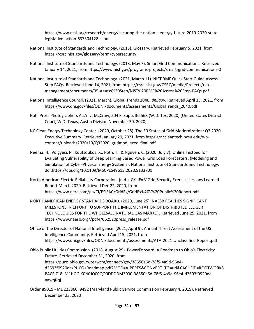[https://www.ncsl.org/research/energy/securing-the-nation-s-energy-future-2019-2020-state](https://www.ncsl.org/research/energy/securing-the-nation-s-energy-future-2019-2020-state-legislative-action-637304128.aspx)legislative-action-637304128.aspx

- National Institute of Standards and Technology. (2015). Glossary. Retrieved February 5, 2021, from <https://csrc.nist.gov/glossary/term/cybersecurity>
- National Institute of Standards and Technology. (2018, May 7). Smart Grid Communications. Retrieved January 14, 2021, from<https://www.nist.gov/programs-projects/smart-grid-communications-0>
- National Institute of Standards and Technology. (2021, March 11). NIST RMF Quick Start Guide Assess Step FAQs. Retrieved June 14, 2021, from [https://csrc.nist.gov/CSRC/media/Projects/risk](https://csrc.nist.gov/CSRC/media/Projects/risk-management/documents/05-Assess%20Step/NIST%20RMF%20Assess%20Step-FAQs.pdf)[management/documents/05-Assess%20Step/NIST%20RMF%20Assess%20Step-FAQs.pdf](https://csrc.nist.gov/CSRC/media/Projects/risk-management/documents/05-Assess%20Step/NIST%20RMF%20Assess%20Step-FAQs.pdf)
- National Intelligence Council. (2021, March). Global Trends 2040. *[dni.gov](https://dni.gov/)*. Retrieved April 15, 2021, from [https://www.dni.gov/files/ODNI/documents/assessments/GlobalTrends\\_2040.pdf](https://www.dni.gov/files/ODNI/documents/assessments/GlobalTrends_2040.pdf)
- Nat'l Press Photographers Ass'n v. McCraw, 504 F. Supp. 3d 568 (W.D. Tex. 2020) (United States District Court, W.D. Texas, Austin Division November 30, 2020).
- NC Clean Energy Technology Center. (2020, October 28). The 50 States of Grid Modernization: Q3 2020 Executive Summary. Retrieved January 29, 2021, from [https://nccleantech.ncsu.edu/wp](https://nccleantech.ncsu.edu/wp-content/uploads/2020/10/Q32020_gridmod_exec_final.pdf)[content/uploads/2020/10/Q32020\\_gridmod\\_exec\\_final.pdf](https://nccleantech.ncsu.edu/wp-content/uploads/2020/10/Q32020_gridmod_exec_final.pdf)
- Evaluating Vulnerability of Deep Learning Based Power Grid Load Forecasters. (Modeling and Neema, H., Volgyesi, P., Koutsoukos, X., Roth, T., & Nguyen, C. (2020, July 7). Online Testbed for Simulation of Cyber-Physical Energy Systems). National Institute of Standards and Technology. doi:<https://doi.org/10.1109/MSCPES49613.2020.9133701>
- North American Electric Reliability Corporation. (n.d.). GridEx V Grid Security Exercise Lessons Learned Report March 2020. Retrieved Dec 22, 2020, from <https://www.nerc.com/pa/CI/ESISAC/GridEx/GridEx%20V%20Public%20Report.pdf>
- MILESTONE IN EFFORT TO SUPPORT THE IMPLEMENTATION OF DISTRIBUTED LEDGER NORTH AMERICAN ENERGY STANDARDS BOARD. (2020, June 25). NAESB REACHES SIGNIFICANT TECHNOLOGIES FOR THE WHOLESALE NATURAL GAS MARKET. Retrieved June 25, 2021, from [https://www.naesb.org//pdf4/062520press\\_release.pdf](https://www.naesb.org//pdf4/062520press_release.pdf)
- Office of the Director of National Intelligence. (2021, April 9). Annual Threat Assessment of the US Intelligence Community. Retrieved April 15, 2021, from <https://www.dni.gov/files/ODNI/documents/assessments/ATA-2021-Unclassified-Report.pdf>
- Ohio Public Utilities Commission. (2018, August 29). PowerForward: A Roadmap to Ohio's Electricity Future. Retrieved December 31, 2020, from https://puco.ohio.gov/wps/wcm/connect/gov/38550a6d-78f5-4a9d-96e4 [d2693f0920de/PUCO+Roadmap.pdf?MOD=AJPERES&CONVERT\\_TO=url&CACHEID=ROOTWORKS](https://puco.ohio.gov/wps/wcm/connect/gov/38550a6d-78f5-4a9d-96e4-d2693f0920de/PUCO+Roadmap.pdf?MOD=AJPERES&CONVERT_TO=url&CACHEID=ROOTWORKS PACE.Z18_M1HGGIK0N0JO00QO9DDDDM3000-38550a6d-78f5-4a9d-96e4-d2693f0920de-nawqRqj)  PACE.Z18\_M1HGGIK0N0JO00QO9DDDDM3000-38550a6d-78f5-4a9d-96e4-d2693f0920denawqRqj
- Order 89015 ML 223860, 9492 (Maryland Public Service Commission February 4, 2019). Retrieved December 23, 2020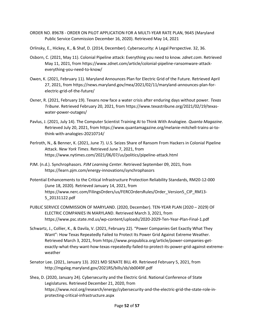- ORDER NO. 89678 ORDER ON PILOT APPLICATION FOR A MULTI-YEAR RATE PLAN, 9645 (Maryland Public Service Commission December 16, 2020). Retrieved May 14, 2021
- Orlinsky, E., Hickey, K., & Shaf, D. (2014, December). Cybersecurity: A Legal Perspective. 32, 36.
- Osborn, C. (2021, May 11). Colonial Pipeline attack: Everything you need to know. *[zdnet.com](https://zdnet.com)*. Retrieved May 11, 2021, from [https://www.zdnet.com/article/colonial-pipeline-ransomware-attack](https://www.zdnet.com/article/colonial-pipeline-ransomware-attack-everything-you-need-to-know/)[everything-you-need-to-know/](https://www.zdnet.com/article/colonial-pipeline-ransomware-attack-everything-you-need-to-know/)
- Owen, K. (2021, February 11). Maryland Announces Plan for Electric Grid of the Future. Retrieved April 27, 2021, from [https://news.maryland.gov/mea/2021/02/11/maryland-announces-plan-for](https://news.maryland.gov/mea/2021/02/11/maryland-announces-plan-for-electric-grid-of-the-future/)[electric-grid-of-the-future/](https://news.maryland.gov/mea/2021/02/11/maryland-announces-plan-for-electric-grid-of-the-future/)
- Oxner, R. (2021, February 19). Texans now face a water crisis after enduring days without power. *Texas Tribune*. Retrieved February 20, 2021, from [https://www.texastribune.org/2021/02/19/texas](https://www.texastribune.org/2021/02/19/texas-water-power-outages/)[water-power-outages/](https://www.texastribune.org/2021/02/19/texas-water-power-outages/)
- Pavlus, J. (2021, July 14). The Computer Scientist Training AI to Think With Analogiee. *Quanta Magazine*. Retrieved July 20, 2021, from [https://www.quantamagazine.org/melanie-mitchell-trains-ai-to](https://www.quantamagazine.org/melanie-mitchell-trains-ai-to-think-with-analogies-20210714/)[think-with-analogies-20210714/](https://www.quantamagazine.org/melanie-mitchell-trains-ai-to-think-with-analogies-20210714/)
- Perlroth, N., & Benner, K. (2021, June 7). U.S. Seizes Share of Ransom From Hackers in Colonial Pipeline Attack. *New York Times*. Retrieved June 7, 2021, from <https://www.nytimes.com/2021/06/07/us/politics/pipeline-attack.html>
- PJM. (n.d.). Synchrophasors. *PJM Learning Center*. Retrieved September 09, 2021, from <https://learn.pjm.com/energy-innovations/synchrophasors>
- Potential Enhancements to the Critical Infrastructure Protection Reliability Standards, RM20-12-000 (June 18, 2020). Retrieved January 14, 2021, from [https://www.nerc.com/FilingsOrders/us/FERCOrdersRules/Order\\_Version5\\_CIP\\_RM13-](https://www.nerc.com/FilingsOrders/us/FERCOrdersRules/Order_Version5_CIP_RM13-5_20131122.pdf) 5\_20131122.pdf
- PUBLIC SERVICE COMMISSION OF MARYLAND. (2020, December). TEN-YEAR PLAN (2020 2029) OF ELECTRIC COMPANIES IN MARYLAND. Retrieved March 3, 2021, from <https://www.psc.state.md.us/wp-content/uploads/2020-2029-Ten-Year-Plan-Final-1.pdf>
- Want": How Texas Repeatedly Failed to Protect Its Power Grid Against Extreme Weather. Schwartz, J., Collier, K., & Davila, V. (2021, February 22). "Power Companies Get Exactly What They Retrieved March 3, 2021, from [https://www.propublica.org/article/power-companies-get](https://www.propublica.org/article/power-companies-get-exactly-what-they-want-how-texas-repeatedly-failed-to-protect-its-power-grid-against-extreme-weather)[exactly-what-they-want-how-texas-repeatedly-failed-to-protect-its-power-grid-against-extreme](https://www.propublica.org/article/power-companies-get-exactly-what-they-want-how-texas-repeatedly-failed-to-protect-its-power-grid-against-extreme-weather)weather
- Senator Lee. (2021, January 13). 2021 MD SENATE BILL 49. Retrieved February 5, 2021, from <http://mgaleg.maryland.gov/2021RS/bills/sb/sb0049F.pdf>
- Shea, D. (2020, January 24). Cybersecurity and the Electric Grid. National Conference of State Legislatures. Retrieved December 21, 2020, from [https://www.ncsl.org/research/energy/cybersecurity-and-the-electric-grid-the-state-role-in](https://www.ncsl.org/research/energy/cybersecurity-and-the-electric-grid-the-state-role-in-protecting-critical-infrastructure.aspx)protecting-critical-infrastructure.aspx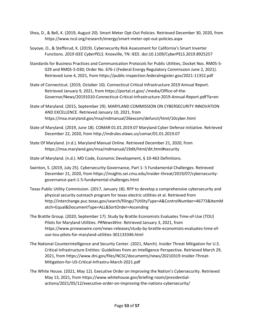- Shea, D., & Bell, K. (2019, August 20). Smart Meter Opt-Out Policies. Retrieved December 30, 2020, from <https://www.ncsl.org/research/energy/smart-meter-opt-out-policies.aspx>
- Soyoye, O., & Stefferud, K. (2019). Cybersecurity Risk Assessment for California's Smart Inverter Functions. *2019 IEEE CyberPELS*. Knoxville, TN: IEEE. doi:10.1109/CyberPELS.2019.8925257
- Standards for Business Practices and Communication Protocols for Public Utilities, Docket Nos. RM05-5- 029 and RM05-5-030; Order No. 676-J (Federal Energy Regulatory Commission June 2, 2021). Retrieved June 4, 2021, from<https://public-inspection.federalregister.gov/2021-11352.pdf>
- State of Connecticut. (2019, October 10). Connecticut Critical Infrastructure 2019 Annual Report. Retrieved January 9, 2021, from [https://portal.ct.gov/-/media/Office-of-the-](https://portal.ct.gov/-/media/Office-of-the-Governor/News/20191010-Connecticut-Critical-Infrastructure-2019-Annual-Report.pdf?la=en)[Governor/News/20191010-Connecticut-Critical-Infrastructure-2019-Annual-Report.pdf?la=en](https://portal.ct.gov/-/media/Office-of-the-Governor/News/20191010-Connecticut-Critical-Infrastructure-2019-Annual-Report.pdf?la=en)
- State of Maryland. (2015, September 29). MARYLAND COMMISSION ON CYBERSECURITY INNOVATION AND EXCELLENCE. Retrieved January 10, 2021, from <https://msa.maryland.gov/msa/mdmanual/26excom/defunct/html/10cyber.html>
- State of Maryland. (2019, June 18). COMAR 01.01.2019.07 Maryland Cyber Defense Initiative. Retrieved December 22, 2020, from <http://mdrules.elaws.us/comar/01.01.2019.07>
- State Of Maryland. (n.d.). Maryland Manual Online. Retrieved December 21, 2020, from <https://msa.maryland.gov/msa/mdmanual/19dit/html/dit.html#security>
- State of Maryland. (n.d.). MD Code, Economic Development, § 10-463 Definitions.
- Swinton, S. (2019, July 25). Cybersecurity Governance, Part 1: 5 Fundamental Challenges. Retrieved December 21, 2020, from [https://insights.sei.cmu.edu/insider-threat/2019/07/cybersecurity](https://insights.sei.cmu.edu/insider-threat/2019/07/cybersecurity-governance-part-1-5-fundamental-challenges.html)[governance-part-1-5-fundamental-challenges.html](https://insights.sei.cmu.edu/insider-threat/2019/07/cybersecurity-governance-part-1-5-fundamental-challenges.html)
- Texas Public Utility Commission. (2017, January 18). RFP to develop a comprehensive cybersecurity and physical security outreach program for texas electric utilities et al. Retrieved from [http://interchange.puc.texas.gov/search/filings/?UtilityType=A&ControlNumber=46773&ItemM](http://interchange.puc.texas.gov/search/filings/?UtilityType=A&ControlNumber=46773&ItemMatch=Equal&DocumentType=ALL&SortOrder=Ascending)  atch=Equal&DocumentType=ALL&SortOrder=Ascending
- The Brattle Group. (2020, September 17). Study by Brattle Economists Evaluates Time-of-Use (TOU) Pilots for Maryland Utilities. *PRNewsWire*. Retrieved January 3, 2021, from [https://www.prnewswire.com/news-releases/study-by-brattle-economists-evaluates-time-of](https://www.prnewswire.com/news-releases/study-by-brattle-economists-evaluates-time-of-use-tou-pilots-for-maryland-utilities-301133346.html)use-tou-pilots-for-maryland-utilities-301133346.html
- The National Counterintelligence and Security Center. (2021, March). Insider Threat Mitigation for U.S. Critical Infrastructure Entities: Guidelines from an Intelligence Perspective. Retrieved March 29, 2021, from [https://www.dni.gov/files/NCSC/documents/news/20210319-Insider-Threat-](https://www.dni.gov/files/NCSC/documents/news/20210319-Insider-Threat-Mitigation-for-US-Critical-Infrastru-March-2021.pdf)[Mitigation-for-US-Critical-Infrastru-March-2021.pdf](https://www.dni.gov/files/NCSC/documents/news/20210319-Insider-Threat-Mitigation-for-US-Critical-Infrastru-March-2021.pdf)
- The White House. (2021, May 12). Executive Order on Improving the Nation's Cybersecurity. Retrieved May 13, 2021, from [https://www.whitehouse.gov/briefing-room/presidential](https://www.whitehouse.gov/briefing-room/presidential-actions/2021/05/12/executive-order-on-improving-the-nations-cybersecurity/)[actions/2021/05/12/executive-order-on-improving-the-nations-cybersecurity/](https://www.whitehouse.gov/briefing-room/presidential-actions/2021/05/12/executive-order-on-improving-the-nations-cybersecurity/)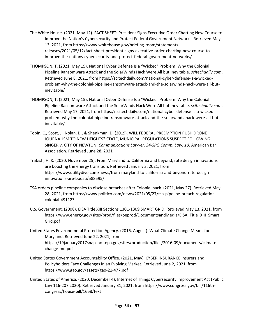- The White House. (2021, May 12). FACT SHEET: President Signs Executive Order Charting New Course to Improve the Nation's Cybersecurity and Protect Federal Government Networks. Retrieved May 13, 2021, from [https://www.whitehouse.gov/briefing-room/statements](https://www.whitehouse.gov/briefing-room/statements-releases/2021/05/12/fact-sheet-president-signs-executive-order-charting-new-course-to-improve-the-nations-cybersecurity-and-protect-federal-government-networks/)[releases/2021/05/12/fact-sheet-president-signs-executive-order-charting-new-course-to](https://www.whitehouse.gov/briefing-room/statements-releases/2021/05/12/fact-sheet-president-signs-executive-order-charting-new-course-to-improve-the-nations-cybersecurity-and-protect-federal-government-networks/)improve-the-nations-cybersecurity-and-protect-federal-government-networks/
- THOMPSON, T. (2021, May 15). National Cyber Defense Is a "Wicked" Problem: Why the Colonial Pipeline Ransomware Attack and the SolarWinds Hack Were All but Inevitable. *[scitechdaily.com](https://scitechdaily.com)*. Retrieved June 8, 2021, from [https://scitechdaily.com/national-cyber-defense-is-a-wicked](https://scitechdaily.com/national-cyber-defense-is-a-wicked-problem-why-the-colonial-pipeline-ransomware-attack-and-the-solarwinds-hack-were-all-but-inevitable/)[problem-why-the-colonial-pipeline-ransomware-attack-and-the-solarwinds-hack-were-all-but](https://scitechdaily.com/national-cyber-defense-is-a-wicked-problem-why-the-colonial-pipeline-ransomware-attack-and-the-solarwinds-hack-were-all-but-inevitable/)inevitable/
- THOMPSON, T. (2021, May 15). National Cyber Defense Is a "Wicked" Problem: Why the Colonial Pipeline Ransomware Attack and the SolarWinds Hack Were All but Inevitable. *[scitechdaily.com](https://scitechdaily.com)*. Retrieved May 17, 2021, from [https://scitechdaily.com/national-cyber-defense-is-a-wicked](https://scitechdaily.com/national-cyber-defense-is-a-wicked-problem-why-the-colonial-pipeline-ransomware-attack-and-the-solarwinds-hack-were-all-but-inevitable/)[problem-why-the-colonial-pipeline-ransomware-attack-and-the-solarwinds-hack-were-all-but](https://scitechdaily.com/national-cyber-defense-is-a-wicked-problem-why-the-colonial-pipeline-ransomware-attack-and-the-solarwinds-hack-were-all-but-inevitable/)inevitable/
- Tobin, C., Scott, J., Nolan, D., & Shenkman, D. (2019). WILL FEDERAL PREEMPTION PUSH DRONE JOURNALISM TO NEW HEIGHTS? STATE, MUNICIPAL REGULATIONS SUSPECT FOLLOWING SINGER v. CITY OF NEWTON. *Communications Lawyer, 34-SPG Comm. Law. 10*. American Bar Association. Retrieved June 28, 2021
- Trabish, H. K. (2020, November 25). From Maryland to California and beyond, rate design innovations are boosting the energy transition. Retrieved January 3, 2021, from [https://www.utilitydive.com/news/from-maryland-to-california-and-beyond-rate-design](https://www.utilitydive.com/news/from-maryland-to-california-and-beyond-rate-design-innovations-are-boosti/588595/)innovations-are-boosti/588595/
- TSA orders pipeline companies to disclose breaches after Colonial hack. (2021, May 27). Retrieved May 28, 2021, from [https://www.politico.com/news/2021/05/27/tsa-pipeline-breach-regulation](https://www.politico.com/news/2021/05/27/tsa-pipeline-breach-regulation-colonial-491123)[colonial-491123](https://www.politico.com/news/2021/05/27/tsa-pipeline-breach-regulation-colonial-491123)
- U.S. Government. (2008). EISA Title XIII Sections 1301-1309 SMART GRID. Retrieved May 13, 2021, from [https://www.energy.gov/sites/prod/files/oeprod/DocumentsandMedia/EISA\\_Title\\_XIII\\_Smart\\_](https://www.energy.gov/sites/prod/files/oeprod/DocumentsandMedia/EISA_Title_XIII_Smart_Grid.pdf)  Grid.pdf
- United States Environmnetal Protection Agency. (2016, August). What Climate Change Means for Maryland. Retrieved June 22, 2021, from [https://19january2017snapshot.epa.gov/sites/production/files/2016-09/documents/climate](https://19january2017snapshot.epa.gov/sites/production/files/2016-09/documents/climate-change-md.pdf)change-md.pdf
- United States Government Accountability Office. (2021, May). CYBER INSURANCE Insurers and Policyholders Face Challenges in an Evolving Market. Retrieved June 2, 2021, from <https://www.gao.gov/assets/gao-21-477.pdf>
- United States of America. (2020, December 4). Internet of Things Cybersecurity Improvement Act (Public Law 116-207 2020). Retrieved January 31, 2021, from [https://www.congress.gov/bill/116th](https://www.congress.gov/bill/116th-congress/house-bill/1668/text)[congress/house-bill/1668/text](https://www.congress.gov/bill/116th-congress/house-bill/1668/text)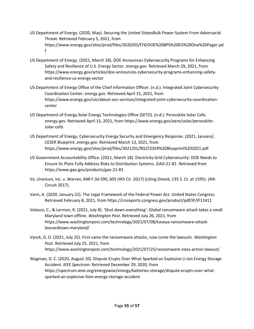- US Department of Energy. (2020, May). Securing the United StatesBulk Power System From Adversarial Threat. Retrieved February 5, 2021, from [https://www.energy.gov/sites/prod/files/2020/05/f74/DOE%20BPS%20EO%20One%20Pager.pd](https://www.energy.gov/sites/prod/files/2020/05/f74/DOE%20BPS%20EO%20One%20Pager.pdf)  f
- US Department of Energy. (2021, March 18). DOE Announces Cybersecurity Programs for Enhancing Safety and Resilience of U.S. Energy Sector. *[energy.gov](https://energy.gov)*. Retrieved March 29, 2021, from [https://www.energy.gov/articles/doe-announces-cybersecurity-programs-enhancing-safety](https://www.energy.gov/articles/doe-announces-cybersecurity-programs-enhancing-safety-and-resilience-us-energy-sector)[and-resilience-us-energy-sector](https://www.energy.gov/articles/doe-announces-cybersecurity-programs-enhancing-safety-and-resilience-us-energy-sector)
- US Department of Energy Office of the Chief Information Officer. (n.d.). Integrated Joint Cybersecurity Coordination Center. *[energy.gov](https://energy.gov)*. Retrieved April 15, 2021, from [https://www.energy.gov/cio/about-our-services/integrated-joint-cybersecurity-coordination](https://www.energy.gov/cio/about-our-services/integrated-joint-cybersecurity-coordination-center)center
- US Department of Energy Solar Energy Technologies Office (SETO). (n.d.). Perovskite Solar Cells. *[energy.gov](https://energy.gov)*. Retrieved April 15, 2021, from [https://www.energy.gov/eere/solar/perovskite](https://www.energy.gov/eere/solar/perovskite-solar-cells)[solar-cells](https://www.energy.gov/eere/solar/perovskite-solar-cells)
- US Department of Energy, Cybersecurity Energy Security and Emergency Response. (2021, January). CESER Blueprint. *[energy.gov](https://energy.gov)*. Retrieved March 13, 2021, from <https://www.energy.gov/sites/prod/files/2021/01/f82/CESER%20Blueprint%202021.pdf>
- US Government Accountability Office. (2021, March 18). Electricity Grid Cybersecurity: DOE Needs to Ensure Its Plans Fully Address Risks to Distribution Systems. *GAO-21-81*. Retrieved from <https://www.gao.gov/products/gao-21-81>
- Va. Uranium, Inc. v. Warren, 848 F.3d 590, 605 (4th Cir. 2017) (citing Oneok, 135 S. Ct. at 1595). (4th Circuit 2017).
- Vann, A. (2020, January 22). The Legal Framework of the Federal Power Act. United States Congress. Retrieved February 8, 2021, from <https://crsreports.congress.gov/product/pdf/IF/IF11411>
- Velazco, C., & Lerman, R. (2021, July 8). 'Shut down everything': Global ransomware attack takes a small Maryland town offline. *Washington Post*. Retrieved July 26, 2021, from [https://www.washingtonpost.com/technology/2021/07/08/kaseya-ransomware-attack](https://www.washingtonpost.com/technology/2021/07/08/kaseya-ransomware-attack-leonardtown-maryland/)leonardtown-maryland/
- Vynck, G. D. (2021, July 25). First came the ransomware attacks, now come the lawsuits. *Washington Post*. Retrieved July 25, 2021, from [https://www.washingtonpost.com/technology/2021/07/25/ransomware-class-action-lawsuit/](https://www.washingtonpost.com/technology/2021/07/25/ransomware-class-action-lawsuit)
- Wagman, D. C. (2020, August 10). Dispute Erupts Over What Sparked an Explosive Li-ion Energy Storage Accident. *IEEE Spectrum*. Retrieved December 29, 2020, from [https://spectrum.ieee.org/energywise/energy/batteries-storage/dispute-erupts-over-what](https://spectrum.ieee.org/energywise/energy/batteries-storage/dispute-erupts-over-what-sparked-an-explosive-liion-energy-storage-accident)sparked-an-explosive-liion-energy-storage-accident